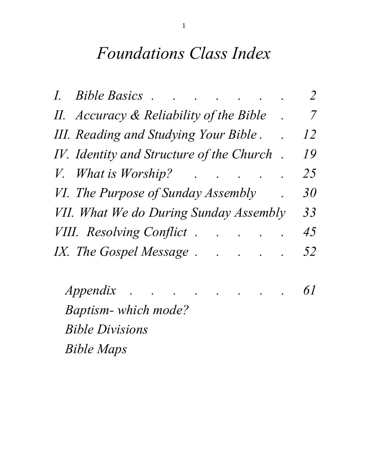## *Foundations Class Index*

| Ι. | <b>Bible Basics</b>                          |  |  |  |  | $\overline{2}$ |
|----|----------------------------------------------|--|--|--|--|----------------|
|    | II. Accuracy & Reliability of the Bible      |  |  |  |  | $\mathcal T$   |
|    | <b>III. Reading and Studying Your Bible.</b> |  |  |  |  | 12             |
|    | IV. Identity and Structure of the Church     |  |  |  |  | 19             |
|    | V. What is Worship?                          |  |  |  |  | 25             |
|    | VI. The Purpose of Sunday Assembly           |  |  |  |  | 30             |
|    | VII. What We do During Sunday Assembly       |  |  |  |  | 33             |
|    | <b>VIII.</b> Resolving Conflict              |  |  |  |  | 45             |
|    | IX. The Gospel Message.                      |  |  |  |  | 52             |
|    | <i>Appendix</i>                              |  |  |  |  | 61             |
|    | <b>Baptism-</b> which mode?                  |  |  |  |  |                |
|    | <b>Bible Divisions</b>                       |  |  |  |  |                |
|    |                                              |  |  |  |  |                |

*Bible Maps*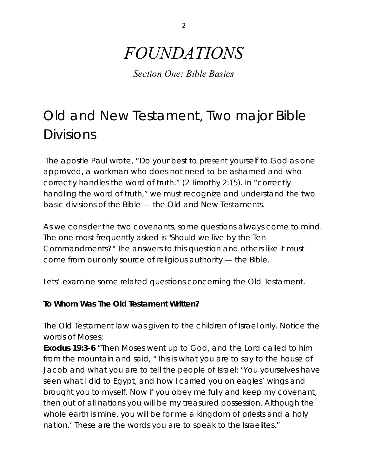## *FOUNDATIONS*

*Section One: Bible Basics*

## Old and New Testament, Two major Bible Divisions

The apostle Paul wrote, *"Do your best to present yourself to God as one approved, a workman who does not need to be ashamed and who correctly handles the word of truth."* (2 Timothy 2:15). In *"correctly handling the word of truth,"* we must recognize and understand the two basic divisions of the Bible — the Old and New Testaments.

As we consider the two covenants, some questions always come to mind. The one most frequently asked is "Should we live by the Ten Commandments?" The answers to this question and others like it must come from our only source of religious authority — the Bible.

Lets' examine some related questions concerning the Old Testament.

#### **To Whom Was The Old Testament Written?**

The Old Testament law was given to the children of Israel only. Notice the words of Moses;

**Exodus 19:3-6** *"Then Moses went up to God, and the Lord called to him from the mountain and said, "This is what you are to say to the house of Jacob and what you are to tell the people of Israel: 'You yourselves have seen what I did to Egypt, and how I carried you on eagles' wings and brought you to myself. Now if you obey me fully and keep my covenant, then out of all nations you will be my treasured possession. Although the whole earth is mine, you will be for me a kingdom of priests and a holy nation.' These are the words you are to speak to the Israelites."*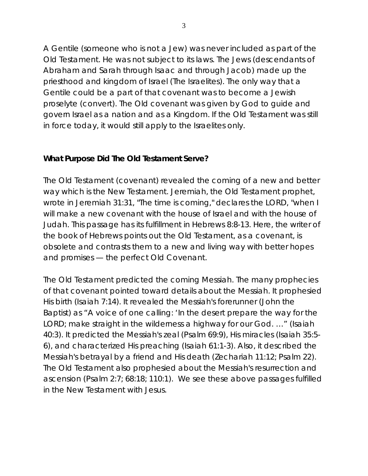A Gentile (someone who is not a Jew) was never included as part of the Old Testament. He was not subject to its laws. The Jews (descendants of Abraham and Sarah through Isaac and through Jacob) made up the priesthood and kingdom of Israel (The Israelites). The only way that a Gentile could be a part of that covenant was to become a Jewish proselyte (convert). The Old covenant was given by God to guide and govern Israel as a nation and as a Kingdom. If the Old Testament *was* still in force today, it would still apply to the Israelites only.

### **What Purpose Did The Old Testament Serve?**

The Old Testament (covenant) revealed the coming of a new and better way which is the New Testament. Jeremiah, the Old Testament prophet, wrote in Jeremiah 31:31, *"The time is coming," declares the LORD, "when I will make a new covenant with the house of Israel and with the house of Judah.* This passage has its fulfillment in Hebrews 8:8-13. Here, the writer of the book of Hebrews points out the Old Testament, as a covenant, is obsolete and contrasts them to a new and living way with better hopes and promises — the perfect Old Covenant.

The Old Testament predicted the coming Messiah. The many prophecies of that covenant pointed toward details about the Messiah. It prophesied His birth (Isaiah 7:14). It revealed the Messiah's forerunner (John the Baptist) as "*A voice of one calling: 'In the desert prepare the way for the LORD; make straight in the wilderness a highway for our God. …"* (Isaiah 40:3). It predicted the Messiah's zeal (Psalm 69:9), His miracles (Isaiah 35:5- 6), and characterized His preaching (Isaiah 61:1-3). Also, it described the Messiah's betrayal by a friend and His death (Zechariah 11:12; Psalm 22). The Old Testament also prophesied about the Messiah's resurrection and ascension (Psalm 2:7; 68:18; 110:1). We see these above passages fulfilled in the New Testament with Jesus.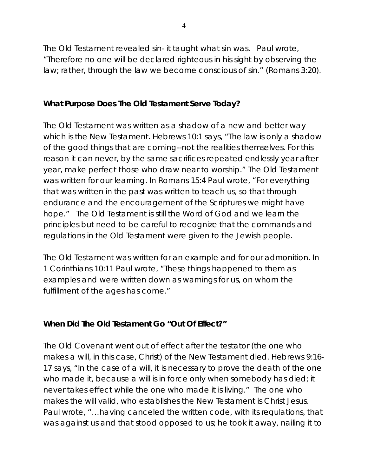The Old Testament revealed sin- it taught what sin was. Paul wrote, "*Therefore no one will be declared righteous in his sight by observing the law; rather, through the law we become conscious of sin."* (Romans 3:20).

#### **What Purpose Does The Old Testament Serve Today?**

The Old Testament was written as a shadow of a new and better way which is the New Testament. Hebrews 10:1 says, "*The law is only a shadow of the good things that are coming--not the realities themselves. For this reason it can never, by the same sacrifices repeated endlessly year after year, make perfect those who draw near to worship."* The Old Testament was written for our learning. In Romans 15:4 Paul wrote*, "For everything that was written in the past was written to teach us, so that through endurance and the encouragement of the Scriptures we might have hope."* The Old Testament is still the Word of God and we learn the principles but need to be careful to recognize that the commands and regulations in the Old Testament were given to the Jewish people.

The Old Testament was written for an example and for our admonition. In 1 Corinthians 10:11 Paul wrote, "*These things happened to them as examples and were written down as warnings for us, on whom the fulfillment of the ages has come."*

#### **When Did The Old Testament Go "Out Of Effect?"**

The Old Covenant went out of effect after the testator (the one who makes a will, in this case, Christ) of the New Testament died. Hebrews 9:16- 17 says, "*In the case of a will, it is necessary to prove the death of the one who made it, because a will is in force only when somebody has died; it never takes effect while the one who made it is living."* The one who makes the will valid, who establishes the New Testament is Christ Jesus. Paul wrote, "…*having canceled the written code, with its regulations, that was against us and that stood opposed to us; he took it away, nailing it to*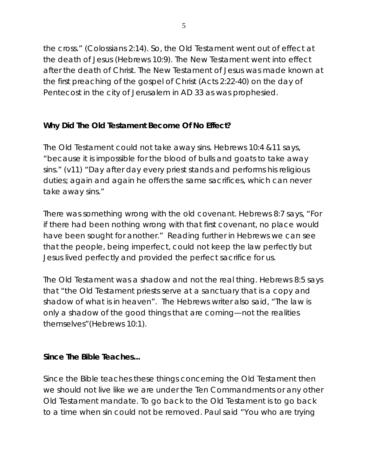*the cross."* (Colossians 2:14). So, the Old Testament went out of effect at the death of Jesus (Hebrews 10:9). The New Testament went into effect after the death of Christ. The New Testament of Jesus was made known at the first preaching of the gospel of Christ (Acts 2:22-40) on the day of Pentecost in the city of Jerusalem in AD 33 as was prophesied.

### **Why Did The Old Testament Become Of No Effect?**

The Old Testament could not take away sins. Hebrews 10:4 &11 says, "*because it is impossible for the blood of bulls and goats to take away sins."* (v11) "*Day after day every priest stands and performs his religious duties; again and again he offers the same sacrifices, which can never take away sins."*

There was something wrong with the old covenant. Hebrews 8:7 says, "*For if there had been nothing wrong with that first covenant, no place would have been sought for another."* Reading further in Hebrews we can see that the people, being imperfect, could not keep the law perfectly but Jesus lived perfectly and provided the perfect sacrifice for us.

The Old Testament was a shadow and not the real thing. Hebrews 8:5 says that "*the Old Testament priests serve at a sanctuary that is a copy and shadow of what is in heaven".* The Hebrews writer also said, "*The law is only a shadow of the good things that are coming—not the realities themselves"*(Hebrews 10:1).

### **Since The Bible Teaches...**

Since the Bible teaches these things concerning the Old Testament then we should not live like we are under the Ten Commandments or any other Old Testament mandate. To go back to the Old Testament is to go back to a time when sin could not be removed. Paul said "*You who are trying*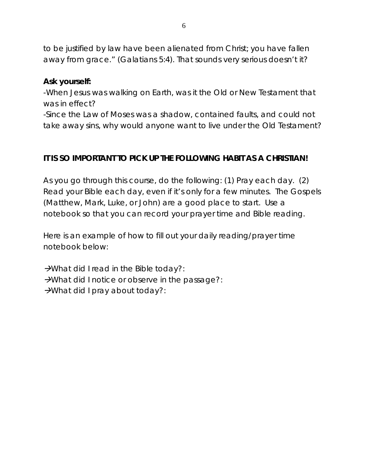*to be justified by law have been alienated from Christ; you have fallen away from grace."* (Galatians 5:4). That sounds very serious doesn't it?

### **Ask yourself:**

-When Jesus was walking on Earth, was it the Old or New Testament that was in effect?

-Since the Law of Moses was a shadow, contained faults, and could not take away sins, why would anyone want to live under the Old Testament?

### *IT IS SO IMPORTANT TO PICK UP THE FOLLOWING HABIT AS A CHRISTIAN!*

As you go through this course, do the following: (1) Pray each day. (2) Read your Bible each day, even if it's only for a few minutes. The Gospels (Matthew, Mark, Luke, or John) are a good place to start. Use a notebook so that you can record your prayer time and Bible reading.

Here is an *example* of how to fill out your daily reading/prayer time notebook below:

*What did I read in the Bible today?: What did I notice or observe in the passage?: What did I pray about today?:*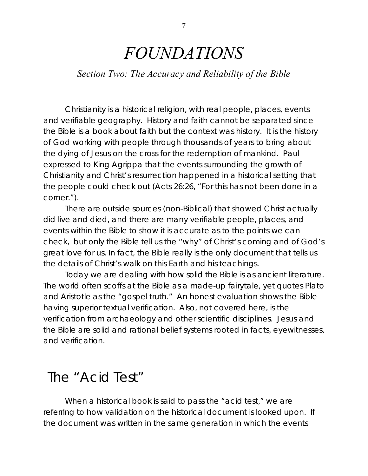## *FOUNDATIONS*

### *Section Two: The Accuracy and Reliability of the Bible*

Christianity is a historical religion, with real people, places, events and verifiable geography. History and faith cannot be separated since the Bible is a book about faith but the context was history. It is the history of God working with people through thousands of years to bring about the dying of Jesus on the cross for the redemption of mankind. Paul expressed to King Agrippa that the events surrounding the growth of Christianity and Christ's resurrection happened in a historical setting that the people could check out (Acts 26:26, *"For this has not been done in a corner."*).

There are outside sources (non-Biblical) that showed Christ actually did live and died, and there are many verifiable people, places, and events within the Bible to show it is accurate as to the points we can check, but only the Bible tell us the "why" of Christ's coming and of God's great love for us. In fact, the Bible really is the only document that tells us the details of Christ's walk on this Earth and his teachings.

Today we are dealing with how solid the Bible is as ancient literature. The world often scoffs at the Bible as a made-up fairytale, yet quotes Plato and Aristotle as the "gospel truth." An honest evaluation shows the Bible having superior textual verification. Also, not covered here, is the verification from archaeology and other scientific disciplines. Jesus and the Bible are solid and rational belief systems rooted in facts, eyewitnesses, and verification.

### The "Acid Test"

When a historical book is said to pass the "acid test," we are referring to how validation on the historical document is looked upon. If the document was written in the same generation in which the events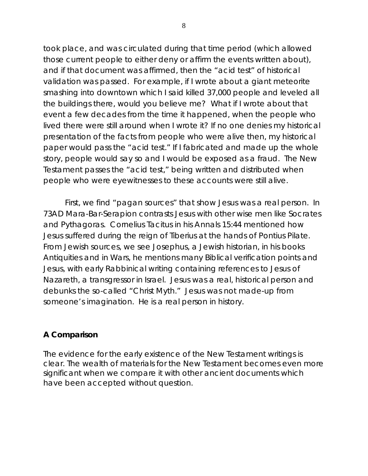took place, and was circulated during that time period (which allowed those current people to either deny or affirm the events written about), and if that document was affirmed, then the "acid test" of historical validation was passed. For example, if I wrote about a giant meteorite smashing into downtown which I said killed 37,000 people and leveled all the buildings there, would you believe me? What if I wrote about that event a few decades from the time it happened, when the people who lived there were still around when I wrote it? If no one denies my historical presentation of the facts from people who were alive then, my historical paper would pass the "acid test." If I fabricated and made up the whole story, people would say so and I would be exposed as a fraud. The New Testament passes the "acid test," being written and distributed when people who were eyewitnesses to these accounts were still alive.

First, we find "pagan sources" that show Jesus was a real person. In 73AD Mara-Bar-Serapion contrasts Jesus with other wise men like Socrates and Pythagoras. Cornelius Tacitus in his Annals 15:44 mentioned how Jesus suffered during the reign of Tiberius at the hands of Pontius Pilate. From Jewish sources, we see Josephus, a Jewish historian, in his books Antiquities and in Wars, he mentions many Biblical verification points and Jesus, with early Rabbinical writing containing references to Jesus of Nazareth, a transgressor in Israel. Jesus was a real, historical person and debunks the so-called "Christ Myth." Jesus was not made-up from someone's imagination. He is a real person in history.

#### *A Comparison*

The evidence for the early existence of the New Testament writings is clear. The wealth of materials for the New Testament becomes even more significant when we compare it with other ancient documents which have been accepted without question.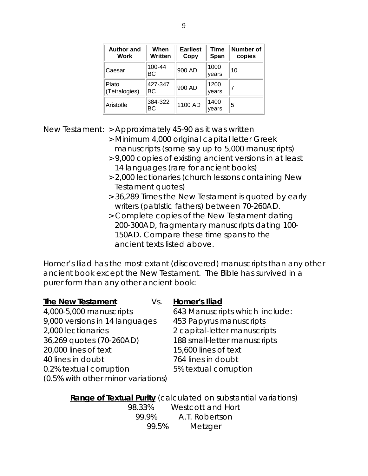| <b>Author and</b><br>Work | When<br>Written | <b>Earliest</b><br>Copy | Time<br>Span  | Number of<br>copies |
|---------------------------|-----------------|-------------------------|---------------|---------------------|
| Caesar                    | 100-44<br>ВC    | 900 AD                  | 1000<br>years | 10                  |
| Plato<br>(Tetralogies)    | 427-347<br>ВC   | 900 AD                  | 1200<br>years |                     |
| Aristotle                 | 384-322<br>BС   | 1100 AD                 | 1400<br>years | 5                   |

New Testament: > Approximately 45-90 as it was written

- > Minimum 4,000 original capital letter Greek manuscripts (some say up to 5,000 manuscripts)
- > 9,000 copies of existing ancient versions in at least 14 languages (rare for ancient books)
- > 2,000 lectionaries (church lessons containing New Testament quotes)
- > 36,289 Times the New Testament is quoted by early writers (patristic fathers) between 70-260AD.
- > Complete copies of the New Testament dating 200-300AD, fragmentary manuscripts dating 100- 150AD. Compare these time spans to the ancient texts listed above.

Homer's *Iliad* has the most extant (discovered) manuscripts than any other ancient book except the New Testament. The Bible has survived in a purer form than any other ancient book:

#### **The New Testament** Vs. **Homer's** *Iliad*

*4,000-5,000 manuscripts 643 Manuscripts which include:* 9,000 versions in 14 languages 453 Papyrus manuscripts 2,000 lectionaries 2 capital-letter manuscripts 36,269 quotes (70-260AD) 188 small-letter manuscripts 20,000 lines of text 15,600 lines of text 40 lines in doubt 764 lines in doubt 0.2% textual corruption 5% textual corruption (0.5% with other minor variations)

**Range of Textual Purity** (calculated on substantial variations) 98.33% Westcott and Hort 99.9% A.T. Robertson 99.5% Metzger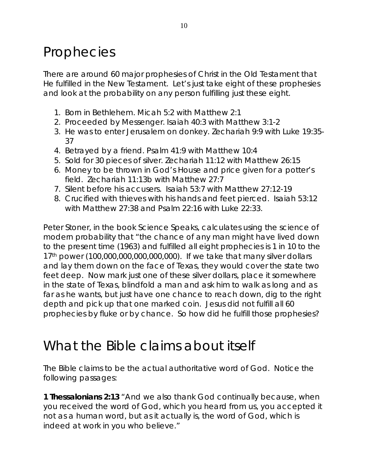## **Prophecies**

There are around 60 major prophesies of Christ in the Old Testament that He fulfilled in the New Testament. Let's just take eight of these prophesies and look at the probability on any person fulfilling just these eight.

- 1. Born in Bethlehem. Micah 5:2 with Matthew 2:1
- 2. Proceeded by Messenger. Isaiah 40:3 with Matthew 3:1-2
- 3. He was to enter Jerusalem on donkey. Zechariah 9:9 with Luke 19:35- 37
- 4. Betrayed by a friend. Psalm 41:9 with Matthew 10:4
- 5. Sold for 30 pieces of silver. Zechariah 11:12 with Matthew 26:15
- 6. Money to be thrown in God's House and price given for a potter's field. Zechariah 11:13b with Matthew 27:7
- 7. Silent before his accusers. Isaiah 53:7 with Matthew 27:12-19
- 8. Crucified with thieves with his hands and feet pierced. Isaiah 53:12 with Matthew 27:38 and Psalm 22:16 with Luke 22:33.

Peter Stoner, in the book Science Speaks, calculates using the science of modern probability that "the chance of any man might have lived down to the present time (1963) and fulfilled all eight prophecies is 1 in 10 to the 17<sup>th</sup> power (100,000,000,000,000,000). If we take that many silver dollars and lay them down on the face of Texas, they would cover the state two feet deep. Now mark just one of these silver dollars, place it somewhere in the state of Texas, blindfold a man and ask him to walk as long and as far as he wants, but just have one chance to reach down, dig to the right depth and pick up that one marked coin. Jesus did not fulfill all 60 prophecies by fluke or by chance. So how did he fulfill those prophesies?

### What the Bible claims about itself

The Bible claims to be the actual authoritative word of God. Notice the following passages:

**1 Thessalonians 2:13** *"And we also thank God continually because, when you received the word of God, which you heard from us, you accepted it not as a human word, but as it actually is, the word of God, which is indeed at work in you who believe."*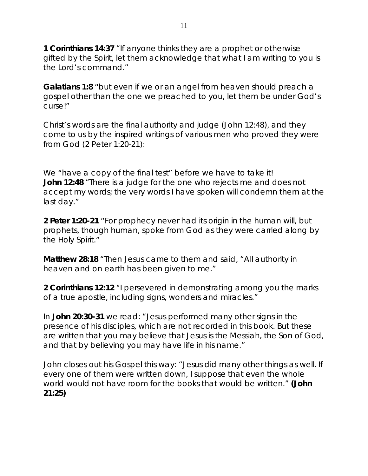**1 Corinthians 14:37** "*If anyone thinks they are a prophet or otherwise gifted by the Spirit, let them acknowledge that what I am writing to you is the Lord's command."*

**Galatians 1:8** *"but even if we or an angel from heaven should preach a gospel other than the one we preached to you, let them be under God's curse!"*

Christ's words are the final authority and judge (John 12:48), and they come to us by the inspired writings of various men who proved they were from God (2 Peter 1:20-21):

We "have a copy of the final test" before we have to take it! **John 12:48** "*There is a judge for the one who rejects me and does not accept my words; the very words I have spoken will condemn them at the last day."*

**2 Peter 1:20-21** "*For prophecy never had its origin in the human will, but prophets, though human, spoke from God as they were carried along by the Holy Spirit."*

**Matthew 28:18** *"Then Jesus came to them and said, "All authority in heaven and on earth has been given to me."*

**2 Corinthians 12:12** *"I persevered in demonstrating among you the marks of a true apostle, including signs, wonders and miracles."*

In **John 20:30-31** we read: "*Jesus performed many other signs in the presence of his disciples, which are not recorded in this book. But these are written that you may believe that Jesus is the Messiah, the Son of God, and that by believing you may have life in his name."*

John closes out his Gospel this way: "*Jesus did many other things as well. If every one of them were written down, I suppose that even the whole world would not have room for the books that would be written."* **(John 21:25)**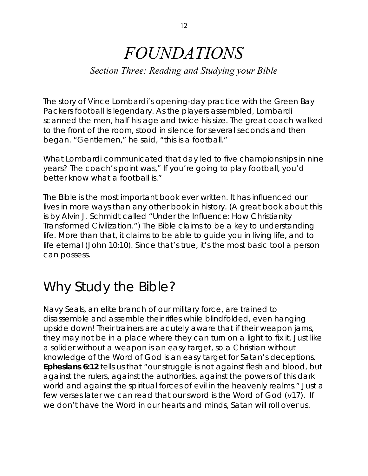## *FOUNDATIONS*

### *Section Three: Reading and Studying your Bible*

The story of Vince Lombardi's opening-day practice with the Green Bay Packers football is legendary. As the players assembled, Lombardi scanned the men, half his age and twice his size. The great coach walked to the front of the room, stood in silence for several seconds and then began. "Gentlemen," he said, "this is a football."

What Lombardi communicated that day led to five championships in nine years? The coach's point was," *If you're going to play football, you'd better know what a football is."* 

The Bible is the most important book ever written. It has influenced our lives in more ways than any other book in history. (A great book about this is by Alvin J. Schmidt called "Under the Influence: How Christianity Transformed Civilization.") The Bible claims to be a key to understanding life. More than that, it claims to be able to guide you in living life, and to life eternal (John 10:10). Since that's true, it's the most basic tool a person can possess.

## Why Study the Bible?

Navy Seals, an elite branch of our military force, are trained to disassemble and assemble their rifles while blindfolded, even hanging upside down! Their trainers are acutely aware that if their weapon jams, they may not be in a place where they can turn on a light to fix it. Just like a solider without a weapon is an easy target, so a Christian without knowledge of the Word of God is an easy target for Satan's deceptions. **Ephesians 6:12** tells us that *"our struggle is not against flesh and blood, but against the rulers, against the authorities, against the powers of this dark world and against the spiritual forces of evil in the heavenly realms."* Just a few verses later we can read that our sword is the Word of God (v17). If we don't have the Word in our hearts and minds, Satan will roll over us.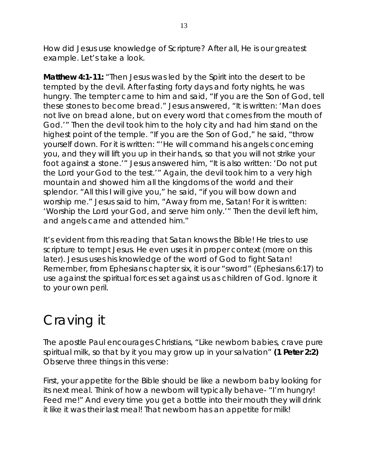How did Jesus use knowledge of Scripture? After all, He is our greatest example. Let's take a look.

**Matthew 4:1-11:** *"Then Jesus was led by the Spirit into the desert to be tempted by the devil. After fasting forty days and forty nights, he was hungry. The tempter came to him and said, "If you are the Son of God, tell these stones to become bread." Jesus answered, "It is written: 'Man does not live on bread alone, but on every word that comes from the mouth of God.'" Then the devil took him to the holy city and had him stand on the highest point of the temple. "If you are the Son of God," he said, "throw yourself down. For it is written: "'He will command his angels concerning you, and they will lift you up in their hands, so that you will not strike your foot against a stone.'" Jesus answered him, "It is also written: 'Do not put the Lord your God to the test.'" Again, the devil took him to a very high mountain and showed him all the kingdoms of the world and their splendor. "All this I will give you," he said, "if you will bow down and worship me." Jesus said to him, "Away from me, Satan! For it is written: 'Worship the Lord your God, and serve him only.'" Then the devil left him, and angels came and attended him."* 

It's evident from this reading that Satan knows the Bible! He tries to use scripture to tempt Jesus. He even uses it in proper context (more on this later). Jesus uses his knowledge of the word of God to fight Satan! Remember, from Ephesians chapter six, it is our "sword" (Ephesians.6:17) to use against the spiritual forces set against us as children of God. Ignore it to your own peril.

## Craving it

The apostle Paul encourages Christians, *"Like newborn babies, crave pure spiritual milk, so that by it you may grow up in your salvation"* **(1 Peter 2:2)**  Observe three things in this verse:

First, your appetite for the Bible should be like a newborn baby looking for its next meal. Think of how a newborn will typically behave- "I'm hungry! Feed me!" And every time you get a bottle into their mouth they will drink it like it was their last meal! That newborn has an appetite for milk!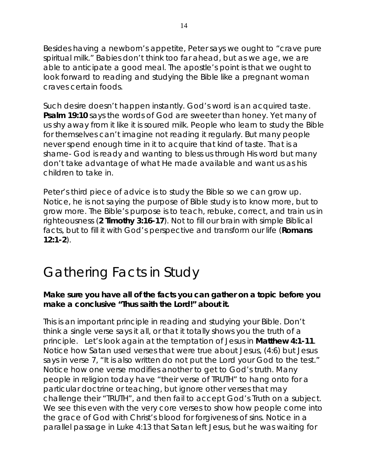Besides having a newborn's appetite, Peter says we ought to *"crave pure spiritual milk."* Babies don't think too far ahead, but as we age, we are able to anticipate a good meal. The apostle's point is that we ought to look forward to reading and studying the Bible like a pregnant woman craves certain foods.

Such desire doesn't happen instantly. God's word is an acquired taste. **Psalm 19:10** says the words of God are sweeter than honey. Yet many of us shy away from it like it is soured milk. People who learn to study the Bible for themselves can't imagine *not* reading it regularly. But many people never spend enough time in it to acquire that kind of taste. That is a shame- God is ready and wanting to bless us through His word but many don't take advantage of what He made available and want us as his children to take in.

Peter's third piece of advice is to study the Bible so we can grow up. Notice, he is not saying the purpose of Bible study is to *know* more, but to *grow* more. The Bible's purpose is to teach, rebuke, correct, and train us in righteousness (**2 Timothy 3:16-17**). Not to fill our brain with simple Biblical facts, but to fill it with God's perspective and transform our life (**Romans 12:1-2**).

## Gathering Facts in Study

#### **Make sure you have all of the facts you can gather on a topic before you make a conclusive "Thus saith the Lord!" about it.**

This is an important principle in reading and studying your Bible. Don't think a single verse says it all, or that it totally shows you the truth of a principle. Let's look again at the temptation of Jesus in **Matthew 4:1-11**. Notice how Satan used verses that were true about Jesus, (4:6) but Jesus says in verse 7, "It is also written do not put the Lord your God to the test." Notice how one verse modifies another to get to God's truth. Many people in religion today have "their verse of TRUTH" to hang onto for a particular doctrine or teaching, but ignore other verses that may challenge their "TRUTH", and then fail to accept God's Truth on a subject. We see this even with the very core verses to show how people come into the grace of God with Christ's blood for forgiveness of sins. Notice in a parallel passage in Luke 4:13 that Satan left Jesus, but he was waiting for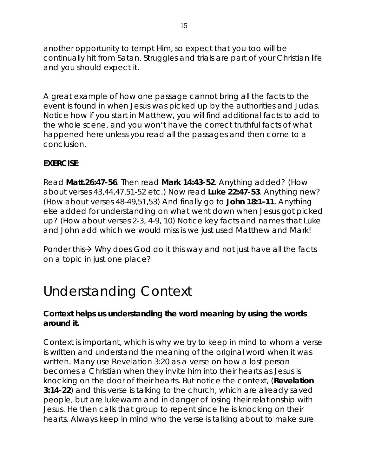another opportunity to tempt Him, so expect that you too will be continually hit from Satan. Struggles and trials are part of your Christian life and you should expect it.

A great example of how one passage cannot bring all the facts to the event is found in when Jesus was picked up by the authorities and Judas. Notice how if you start in Matthew, you will find additional facts to add to the whole scene, and you won't have the correct truthful facts of what happened here unless you read all the passages and then come to a conclusion.

#### **EXERCISE**:

Read **Matt.26:47-56**. Then read **Mark 14:43-52**. Anything added? (How about verses 43,44,47,51-52 etc.) Now read **Luke 22:47-53**. Anything new? (How about verses 48-49,51,53) And finally go to **John 18:1-11**. Anything else added for understanding on what went down when Jesus got picked up? (How about verses 2-3, 4-9, 10) Notice key facts and names that Luke and John add which we would miss is we just used Matthew and Mark!

Ponder this  $\rightarrow$  Why does God do it this way and not just have all the facts on a topic in just one place?

## Understanding Context

#### **Context helps us understanding the word meaning by using the words around it.**

Context is important, which is why we try to keep in mind to whom a verse is written and understand the meaning of the original word when it was written. Many use Revelation 3:20 as a verse on how a lost person becomes a Christian when they invite him into their hearts as Jesus is knocking on the door of their hearts. But notice the context, (**Revelation 3:14-22**) and this verse is talking to the church, which are already saved people, but are lukewarm and in danger of losing their relationship with Jesus. He then calls that group to repent since he is knocking on their hearts. Always keep in mind who the verse is talking about to make sure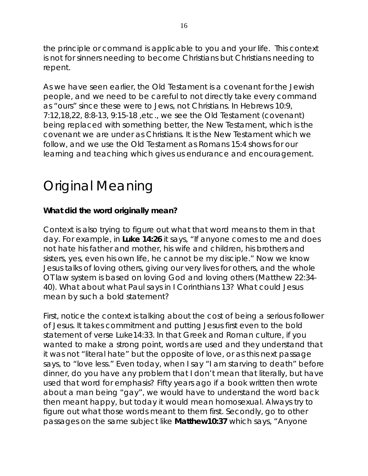the principle or command is applicable to you and your life. This context is not for sinners needing to become Christians but Christians needing to repent.

As we have seen earlier, the Old Testament is a covenant for the Jewish people, and we need to be careful to not directly take every command as "ours" since these were to Jews, not Christians. In Hebrews 10:9, 7:12,18,22, 8:8-13, 9:15-18 ,etc., we see the Old Testament (covenant) being replaced with something better, the New Testament, which is the covenant we are under as Christians. It is the New Testament which we follow, and we use the Old Testament as Romans 15:4 shows for our learning and teaching which gives us endurance and encouragement.

## Original Meaning

### **What did the word originally mean?**

Context is also trying to figure out what that word means to them in that day. For example, in **Luke 14:26** it says, *"If anyone comes to me and does not hate his father and mother, his wife and children, his brothers and sisters, yes, even his own life, he cannot be my disciple."* Now we know Jesus talks of loving others, giving our very lives for others, and the whole OT law system is based on loving God and loving others (Matthew 22:34- 40). What about what Paul says in I Corinthians 13? What could Jesus mean by such a bold statement?

First, notice the context is talking about the cost of being a serious follower of Jesus. It takes commitment and putting Jesus first even to the bold statement of verse Luke14:33. In that Greek and Roman culture, if you wanted to make a strong point, words are used and they understand that it was not "literal hate" but the opposite of love, or as this next passage says, to "love less." Even today, when I say "I am starving to death" before dinner, do you have any problem that I don't mean that literally, but have used that word for emphasis? Fifty years ago if a book written then wrote about a man being "gay", we would have to understand the word back then meant happy, but today it would mean homosexual. Always try to figure out what those words meant to them first. Secondly, go to other passages on the same subject like **Matthew10:37** which says, *"Anyone*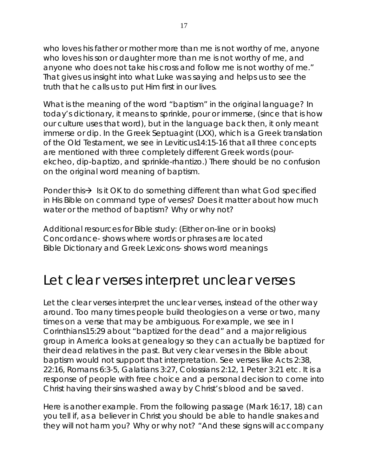*who loves his father or mother more than me is not worthy of me, anyone who loves his son or daughter more than me is not worthy of me, and anyone who does not take his cross and follow me is not worthy of me."*  That gives us insight into what Luke was saying and helps us to see the truth that he calls us to put Him first in our lives.

What is the meaning of the word "baptism" in the original language? In today's dictionary, it means to sprinkle, pour or immerse, (since that is how our culture uses that word), but in the language back then, it only meant immerse or dip. In the Greek Septuagint (LXX), which is a Greek translation of the Old Testament, we see in Leviticus14:15-16 that all three concepts are mentioned with three completely different Greek words (pourekcheo, dip-baptizo, and sprinkle-rhantizo.) There should be no confusion on the original word meaning of baptism.

Ponder this  $\rightarrow$  Is it OK to do something different than what God specified in His Bible on command type of verses? Does it matter about how much water or the method of baptism? Why or why not?

Additional resources for Bible study: (Either on-line or in books) Concordance- shows where words or phrases are located Bible Dictionary and Greek Lexicons- shows word meanings

### Let clear verses interpret unclear verses

Let the clear verses interpret the unclear verses, instead of the other way around. Too many times people build theologies on a verse or two, many times on a verse that may be ambiguous. For example, we see in I Corinthians15:29 about "baptized for the dead" and a major religious group in America looks at genealogy so they can actually be baptized for their dead relatives in the past. But very clear verses in the Bible about baptism would not support that interpretation. See verses like Acts 2:38, 22:16, Romans 6:3-5, Galatians 3:27, Colossians 2:12, 1 Peter 3:21 etc. It is a response of people with free choice and a personal decision to come into Christ having their sins washed away by Christ's blood and be saved.

Here is another example. From the following passage (Mark 16:17, 18) can you tell if, as a believer in Christ you should be able to handle snakes and they will not harm you? Why or why not? *"And these signs will accompany*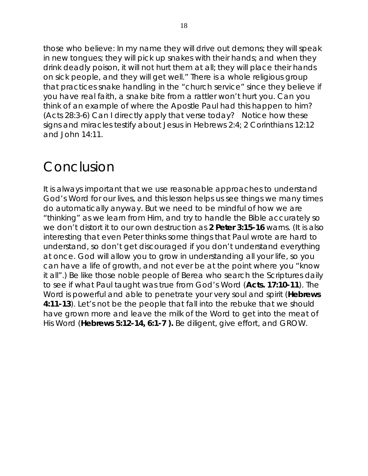*those who believe: In my name they will drive out demons; they will speak in new tongues; they will pick up snakes with their hands; and when they drink deadly poison, it will not hurt them at all; they will place their hands on sick people, and they will get well."* There is a whole religious group that practices snake handling in the "church service" since they believe if you have real faith, a snake bite from a rattler won't hurt you. Can you think of an example of where the Apostle Paul had this happen to him? (Acts 28:3-6) Can I directly apply that verse today? Notice how these signs and miracles testify about Jesus in Hebrews 2:4; 2 Corinthians 12:12 and John 14:11.

### Conclusion

It is always important that we use reasonable approaches to understand God's Word for our lives, and this lesson helps us see things we many times do automatically anyway. But we need to be mindful of how we are "thinking" as we learn from Him, and try to handle the Bible accurately so we don't distort it to our own destruction as **2 Peter 3:15-16** warns. (It is also interesting that even Peter thinks some things that Paul wrote are hard to understand, so don't get discouraged if you don't understand everything at once. God will allow you to grow in understanding all your life, so you can have a life of growth, and not ever be at the point where you "know it all".) Be like those noble people of Berea who search the Scriptures daily to see if what Paul taught was true from God's Word (**Acts. 17:10-11**). The Word is powerful and able to penetrate your very soul and spirit (**Hebrews 4:11-13**). Let's not be the people that fall into the rebuke that we should have grown more and leave the milk of the Word to get into the meat of His Word (**Hebrews 5:12-14, 6:1-7 ).** Be diligent, give effort, and GROW.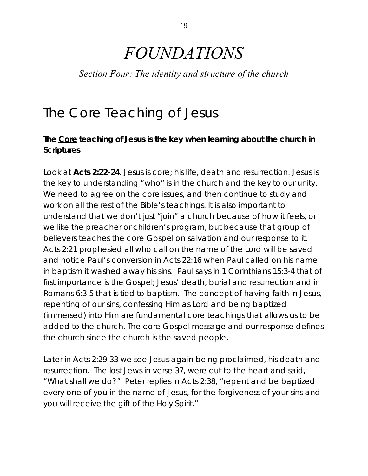## *FOUNDATIONS*

### *Section Four: The identity and structure of the church*

### The Core Teaching of Jesus

### **The Core teaching of Jesus is the key when learning about the church in Scriptures**

Look at **Acts 2:22-24**. Jesus is core; his life, death and resurrection. Jesus is the key to understanding "who" is in the church and the key to our unity. We need to agree on the core issues, and then continue to study and work on all the rest of the Bible's teachings. It is also important to understand that we don't just "join" a church because of how it feels, or we like the preacher or children's program, but because that group of believers teaches the core Gospel on salvation and our response to it. Acts 2:21 prophesied all who call on the name of the Lord will be saved and notice Paul's conversion in Acts 22:16 when Paul called on his name in baptism it washed away his sins. Paul says in 1 Corinthians 15:3-4 that of first importance is the Gospel; Jesus' death, burial and resurrection and in Romans 6:3-5 that is tied to baptism. The concept of having faith in Jesus, repenting of our sins, confessing Him as Lord and being baptized (immersed) into Him are fundamental core teachings that allows us to be added to the church. The core Gospel message and our response defines the church since the church is the saved people.

Later in Acts 2:29-33 we see Jesus again being proclaimed, his death and resurrection. The lost Jews in verse 37, were cut to the heart and said, "What shall we do?" Peter replies in Acts 2:38, "repent and be baptized every one of you in the name of Jesus, for the forgiveness of your sins and you will receive the gift of the Holy Spirit."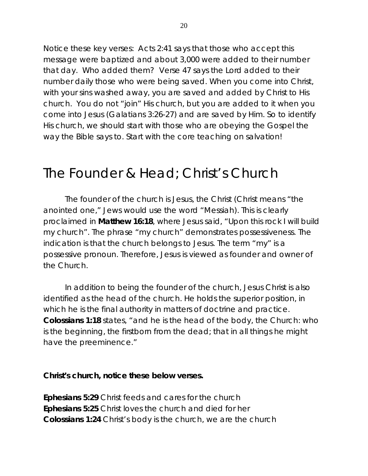Notice these key verses: Acts 2:41 says that those who accept this message were baptized and about 3,000 were added to their number that day. Who added them? Verse 47 says the Lord added to their number daily those who were being saved. When you come into Christ, with your sins washed away, you are saved and added by Christ to His church. You do not "join" His church, but you are added to it when you come into Jesus (Galatians 3:26-27) and are saved by Him. So to identify His church, we should start with those who are obeying the Gospel the way the Bible says to. Start with the core teaching on salvation!

### The Founder & Head; Christ's Church

The founder of the church is Jesus, the Christ (Christ means "the anointed one," Jews would use the word "Messiah). This is clearly proclaimed in **Matthew 16:18**, where Jesus said, "Upon this rock I will build my church". The phrase "my church" demonstrates possessiveness. The indication is that the church belongs to Jesus. The term "my" is a possessive pronoun. Therefore, Jesus is viewed as founder and owner of the Church.

In addition to being the founder of the church, Jesus Christ is also identified as the head of the church. He holds the superior position, in which he is the final authority in matters of doctrine and practice. **Colossians 1:18** states, "and he is the head of the body, the Church: who is the beginning, the firstborn from the dead; that in all things he might have the preeminence."

#### **Christ's church, notice these below verses.**

**Ephesians 5:29** Christ feeds and cares for the church **Ephesians 5:25** Christ loves the church and died for her **Colossians 1:24** Christ's body is the church, we are the church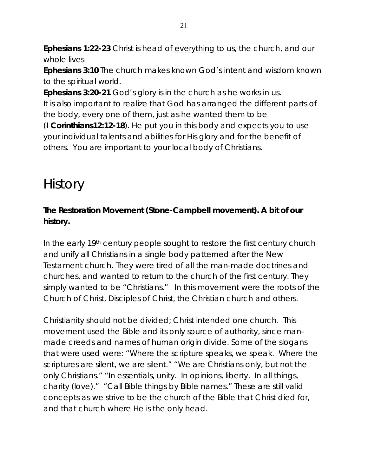**Ephesians 1:22-23** Christ is head of everything to us, the church, and our whole lives

**Ephesians 3:10** The church makes known God's intent and wisdom known to the spiritual world.

**Ephesians 3:20-21** God's glory is in the church as he works in us. It is also important to realize that God has arranged the different parts of the body, every one of them, just as he wanted them to be

(**I Corinthians12:12-18**). He put you in this body and expects you to use your individual talents and abilities for His glory and for the benefit of others. You are important to your local body of Christians.

## **History**

### **The Restoration Movement (Stone-Campbell movement). A bit of our history.**

In the early 19<sup>th</sup> century people sought to restore the first century church and unify all Christians in a single body patterned after the New Testament church. They were tired of all the man-made doctrines and churches, and wanted to return to the church of the first century. They simply wanted to be "Christians." In this movement were the roots of the Church of Christ, Disciples of Christ, the Christian church and others.

Christianity should not be divided; Christ intended one church. This movement used the Bible and its only source of authority, since manmade creeds and names of human origin divide. Some of the slogans that were used were: "Where the scripture speaks, we speak. Where the scriptures are silent, we are silent." "We are Christians only, but not the only Christians." "In essentials, unity. In opinions, liberty. In all things, charity (love)." "Call Bible things by Bible names." These are still valid concepts as we strive to be the church of the Bible that Christ died for, and that church where He is the only head.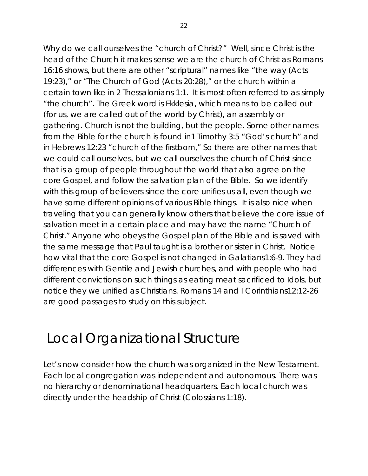Why do we call ourselves the "church of Christ?" Well, since Christ is the head of the Church it makes sense we are the church of Christ as Romans 16:16 shows, but there are other "scriptural" names like "the way (Acts 19:23)," or "The Church of God (Acts 20:28)," or the church within a certain town like in 2 Thessalonians 1:1. It is most often referred to as simply "the church". The Greek word is Ekklesia, which means to be called out (for us, we are called out of the world by Christ), an assembly or gathering. Church is not the building, but the people. Some other names from the Bible for the church is found in1 Timothy 3:5 "God's church" and in Hebrews 12:23 "church of the firstborn," So there are other names that we could call ourselves, but we call ourselves the church of Christ since that is a group of people throughout the world that also agree on the core Gospel, and follow the salvation plan of the Bible. So we identify with this group of believers since the core unifies us all, even though we have some different opinions of various Bible things. It is also nice when traveling that you can generally know others that believe the core issue of salvation meet in a certain place and may have the name "Church of Christ." Anyone who obeys the Gospel plan of the Bible and is saved with the same message that Paul taught is a brother or sister in Christ. Notice how vital that the core Gospel is not changed in Galatians1:6-9. They had differences with Gentile and Jewish churches, and with people who had different convictions on such things as eating meat sacrificed to Idols, but notice they we unified as Christians. Romans 14 and I Corinthians12:12-26 are good passages to study on this subject.

## Local Organizational Structure

Let's now consider how the church was organized in the New Testament. Each local congregation was independent and autonomous. There was no hierarchy or denominational headquarters. Each local church was directly under the headship of Christ (Colossians 1:18).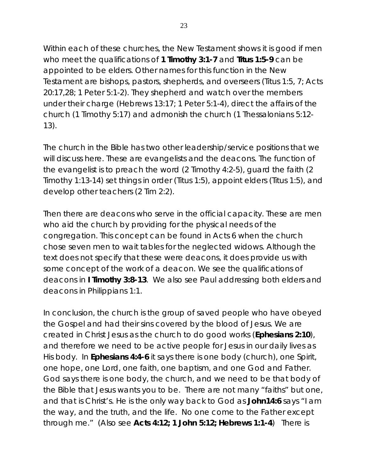Within each of these churches, the New Testament shows it is good if men who meet the qualifications of **1 Timothy 3:1-7** and **Titus 1:5-9** can be appointed to be elders. Other names for this function in the New Testament are bishops, pastors, shepherds, and overseers (Titus 1:5, 7; Acts 20:17,28; 1 Peter 5:1-2). They shepherd and watch over the members under their charge (Hebrews 13:17; 1 Peter 5:1-4), direct the affairs of the church (1 Timothy 5:17) and admonish the church (1 Thessalonians 5:12- 13).

The church in the Bible has two other leadership/service positions that we will discuss here. These are evangelists and the deacons. The function of the evangelist is to preach the word (2 Timothy 4:2-5), guard the faith (2 Timothy 1:13-14) set things in order (Titus 1:5), appoint elders (Titus 1:5), and develop other teachers (2 Tim 2:2).

Then there are deacons who serve in the official capacity. These are men who aid the church by providing for the physical needs of the congregation. This concept can be found in Acts 6 when the church chose seven men to wait tables for the neglected widows. Although the text does not specify that these were deacons, it does provide us with some concept of the work of a deacon. We see the qualifications of deacons in **I Timothy 3:8-13**. We also see Paul addressing both elders and deacons in Philippians 1:1.

In conclusion, the church is the group of saved people who have obeyed the Gospel and had their sins covered by the blood of Jesus. We are created in Christ Jesus as the church to do good works (**Ephesians 2:10**), and therefore we need to be active people for Jesus in our daily lives as His body. In **Ephesians 4:4-6** it says there is one body (church), one Spirit, one hope, one Lord, one faith, one baptism, and one God and Father. God says there is one body, the church, and we need to be that body of the Bible that Jesus wants you to be. There are not many "faiths" but one, and that is Christ's. He is the only way back to God as **John14:6** says *"I am the way, and the truth, and the life. No one come to the Father except through me."* (Also see **Acts 4:12; 1 John 5:12; Hebrews 1:1-4**) There is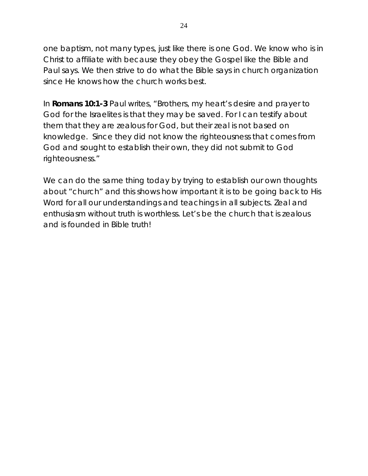one baptism, not many types, just like there is one God. We know who is in Christ to affiliate with because they obey the Gospel like the Bible and Paul says. We then strive to do what the Bible says in church organization since He knows how the church works best.

In **Romans 10:1-3** Paul writes, *"Brothers, my heart's desire and prayer to God for the Israelites is that they may be saved. For I can testify about them that they are zealous for God, but their zeal is not based on knowledge. Since they did not know the righteousness that comes from God and sought to establish their own, they did not submit to God righteousness."* 

We can do the same thing today by trying to establish our own thoughts about "church" and this shows how important it is to be going back to His Word for all our understandings and teachings in all subjects. Zeal and enthusiasm without truth is worthless. Let's be the church that is zealous and is founded in Bible truth!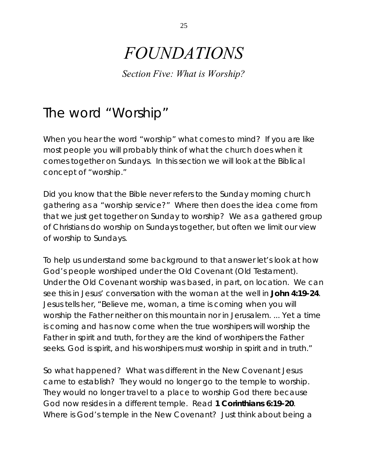# *FOUNDATIONS*

*Section Five: What is Worship?*

## The word "Worship"

When you hear the word "worship" what comes to mind? If you are like most people you will probably think of what the church does when it comes together on Sundays. In this section we will look at the Biblical concept of "worship."

Did you know that the Bible never refers to the Sunday morning church gathering as a "worship service?" Where then does the idea come from that we just get together on Sunday to worship? We as a gathered group of Christians do worship on Sundays together, but often we limit our view of worship to Sundays.

To help us understand some background to that answer let's look at how God's people worshiped under the Old Covenant (Old Testament). Under the Old Covenant worship was based, in part, on location. We can see this in Jesus' conversation with the woman at the well in **John 4:19-24**. Jesus tells her, *"Believe me, woman, a time is coming when you will worship the Father neither on this mountain nor in Jerusalem. ... Yet a time is coming and has now come when the true worshipers will worship the Father in spirit and truth, for they are the kind of worshipers the Father seeks. God is spirit, and his worshipers must worship in spirit and in truth."*

So what happened? What was different in the New Covenant Jesus came to establish? They would no longer go to the temple to worship. They would no longer travel to a place to worship God there because God now resides in a different temple. Read **1 Corinthians 6:19-20**. Where is God's temple in the New Covenant? Just think about being a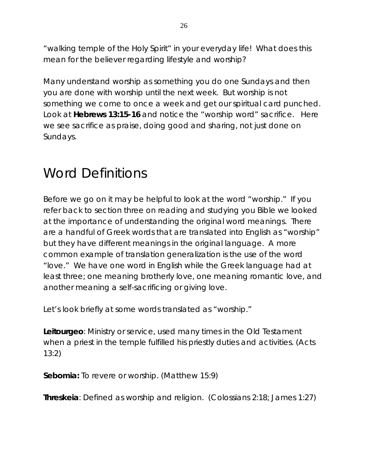"walking temple of the Holy Spirit" in your everyday life! What does this mean for the believer regarding lifestyle and worship?

Many understand worship as something you do one Sundays and then you are done with worship until the next week. But worship is not something we come to once a week and get our spiritual card punched. Look at **Hebrews 13:15-16** and notice the "worship word" sacrifice. Here we see sacrifice as praise, doing good and sharing, not just done on Sundays.

## Word Definitions

Before we go on it may be helpful to look at the word "worship." If you refer back to section three on reading and studying you Bible we looked at the importance of understanding the original word meanings. There are a handful of Greek words that are translated into English as "worship" but they have different meanings in the original language. A more common example of translation generalization is the use of the word "love." We have one word in English while the Greek language had at least three; one meaning brotherly love, one meaning romantic love, and another meaning a self-sacrificing or giving love.

Let's look briefly at some words translated as "worship."

**Leitourgeo**: Ministry or service, used many times in the Old Testament when a priest in the temple fulfilled his priestly duties and activities. (Acts 13:2)

**Sebomia:** To revere or worship. (Matthew 15:9)

**Threskeia**: Defined as worship and religion. (Colossians 2:18; James 1:27)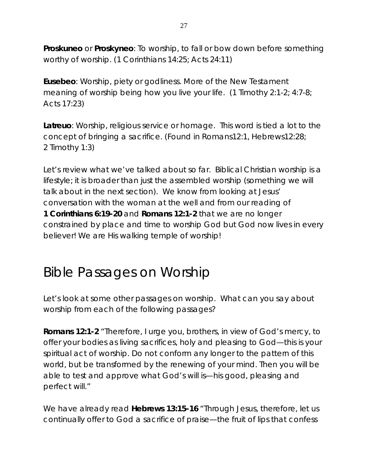**Proskuneo** or **Proskyneo**: To worship, to fall or bow down before something worthy of worship. (1 Corinthians 14:25; Acts 24:11)

**Eusebeo**: Worship, piety or godliness. More of the New Testament meaning of worship being how you live your life. (1 Timothy 2:1-2; 4:7-8; Acts 17:23)

**Latreuo**: Worship, religious service or homage. This word is tied a lot to the concept of bringing a sacrifice. (Found in Romans12:1, Hebrews12:28; 2 Timothy 1:3)

Let's review what we've talked about so far. Biblical Christian worship is a lifestyle; it is broader than just the assembled worship (something we will talk about in the next section). We know from looking at Jesus' conversation with the woman at the well and from our reading of **1 Corinthians 6:19-20** and **Romans 12:1-2** that we are no longer constrained by place and time to worship God but God now lives in every believer! We are His walking temple of worship!

## Bible Passages on Worship

Let's look at some other passages on worship. What can you say about worship from each of the following passages?

**Romans 12:1-2** *"Therefore, I urge you, brothers, in view of God's mercy, to offer your bodies as living sacrifices, holy and pleasing to God—this is your spiritual act of worship. Do not conform any longer to the pattern of this world, but be transformed by the renewing of your mind. Then you will be able to test and approve what God's will is—his good, pleasing and perfect will."*

We have already read **Hebrews 13:15-16** *"Through Jesus, therefore, let us continually offer to God a sacrifice of praise—the fruit of lips that confess*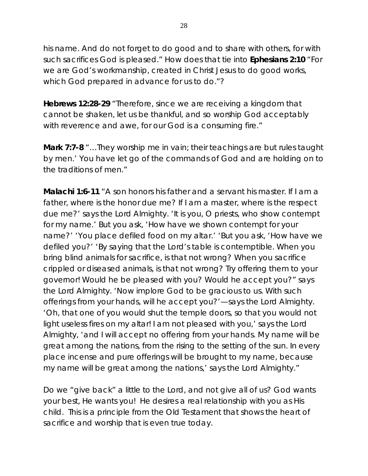*his name. And do not forget to do good and to share with others, for with such sacrifices God is pleased."* How does that tie into **Ephesians 2:10** "For we are God's workmanship, created in Christ Jesus to do good works, which God prepared in advance for us to do."?

**Hebrews 12:28-29** *"Therefore, since we are receiving a kingdom that cannot be shaken, let us be thankful, and so worship God acceptably with reverence and awe, for our God is a consuming fire."*

**Mark 7:7-8** *"…They worship me in vain; their teachings are but rules taught by men.' You have let go of the commands of God and are holding on to the traditions of men."*

**Malachi 1:6-11** *"A son honors his father and a servant his master. If I am a father, where is the honor due me? If I am a master, where is the respect due me?' says the Lord Almighty. 'It is you, O priests, who show contempt for my name.' But you ask, 'How have we shown contempt for your name?' 'You place defiled food on my altar.' 'But you ask, 'How have we defiled you?' 'By saying that the Lord's table is contemptible. When you bring blind animals for sacrifice, is that not wrong? When you sacrifice crippled or diseased animals, is that not wrong? Try offering them to your governor! Would he be pleased with you? Would he accept you?" says the Lord Almighty. 'Now implore God to be gracious to us. With such offerings from your hands, will he accept you?'—says the Lord Almighty.*  'Oh, that one of you would shut the temple doors, so that you would not light useless fires on my altar! I am not pleased with you,' says the Lord *Almighty, 'and I will accept no offering from your hands. My name will be great among the nations, from the rising to the setting of the sun. In every place incense and pure offerings will be brought to my name, because my name will be great among the nations,' says the Lord Almighty."*

Do we "give back" a little to the Lord, and not give all of us? God wants your best, He wants you! He desires a real relationship with you as His child. This is a principle from the Old Testament that shows the heart of sacrifice and worship that is even true today.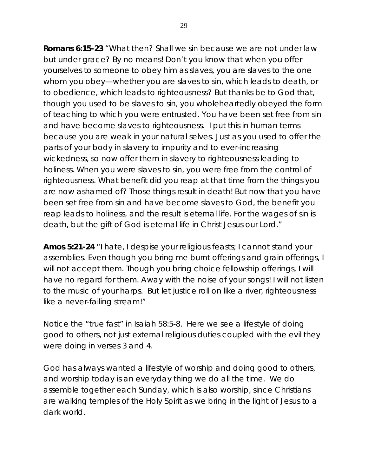**Romans 6:15-23** *"What then? Shall we sin because we are not under law but under grace? By no means! Don't you know that when you offer yourselves to someone to obey him as slaves, you are slaves to the one whom you obey—whether you are slaves to sin, which leads to death, or to obedience, which leads to righteousness? But thanks be to God that, though you used to be slaves to sin, you wholeheartedly obeyed the form of teaching to which you were entrusted. You have been set free from sin and have become slaves to righteousness. I put this in human terms because you are weak in your natural selves. Just as you used to offer the parts of your body in slavery to impurity and to ever-increasing wickedness, so now offer them in slavery to righteousness leading to holiness. When you were slaves to sin, you were free from the control of righteousness. What benefit did you reap at that time from the things you are now ashamed of? Those things result in death! But now that you have been set free from sin and have become slaves to God, the benefit you*  reap leads to holiness, and the result is eternal life. For the wages of sin is *death, but the gift of God is eternal life in Christ Jesus our Lord."*

**Amos 5:21-24** *"I hate, I despise your religious feasts; I cannot stand your assemblies. Even though you bring me burnt offerings and grain offerings, I*  will not accept them. Though you bring choice fellowship offerings, I will *have no regard for them. Away with the noise of your songs! I will not listen to the music of your harps. But let justice roll on like a river, righteousness like a never-failing stream!"* 

Notice the "true fast" in Isaiah 58:5-8. Here we see a lifestyle of doing good to others, not just external religious duties coupled with the evil they were doing in verses 3 and 4.

God has always wanted a lifestyle of worship and doing good to others, and worship today is an everyday thing we do all the time. We do assemble together each Sunday, which is also worship, since Christians are walking temples of the Holy Spirit as we bring in the light of Jesus to a dark world.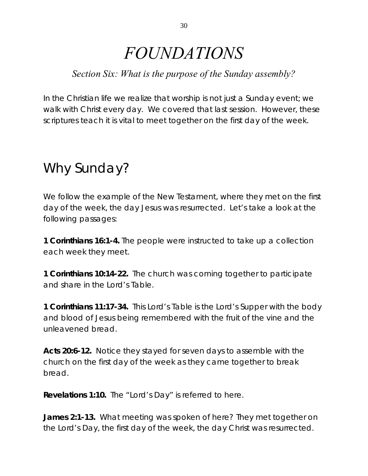# *FOUNDATIONS*

### *Section Six: What is the purpose of the Sunday assembly?*

In the Christian life we realize that worship is not just a Sunday event; we walk with Christ every day. We covered that last session. However, these scriptures teach it is vital to meet together on the first day of the week.

## Why Sunday?

We follow the example of the New Testament, where they met on the first day of the week, the day Jesus was resurrected. Let's take a look at the following passages:

**1 Corinthians 16:1-4.** The people were instructed to take up a collection each week they meet.

**1 Corinthians 10:14-22.** The church was coming together to participate and share in the Lord's Table.

**1 Corinthians 11:17-34.** This Lord's Table is the Lord's Supper with the body and blood of Jesus being remembered with the fruit of the vine and the unleavened bread.

**Acts 20:6-12.** Notice they stayed for seven days to assemble with the church on the first day of the week as they came together to break bread.

**Revelations 1:10.** The "Lord's Day" is referred to here.

**James 2:1-13.** What meeting was spoken of here? They met together on the Lord's Day, the first day of the week, the day Christ was resurrected.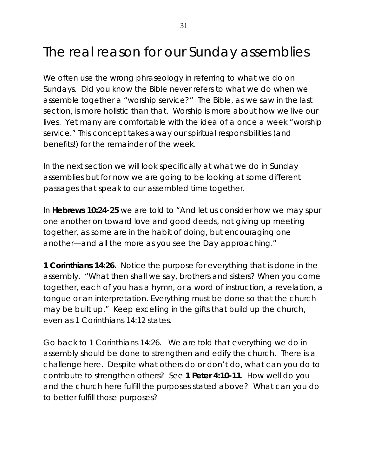## The real reason for our Sunday assemblies

We often use the wrong phraseology in referring to what we do on Sundays. Did you know the Bible never refers to what we do when we assemble together a "worship service?" The Bible, as we saw in the last section, is more holistic than that. Worship is more about how we live our lives. Yet many are comfortable with the idea of a once a week "worship service." This concept takes away our spiritual responsibilities (and benefits!) for the remainder of the week.

In the next section we will look specifically at what we do in Sunday assemblies but for now we are going to be looking at some different passages that speak to our assembled time together.

In **Hebrews 10:24-25** we are told to *"And let us consider how we may spur one another on toward love and good deeds, not giving up meeting together, as some are in the habit of doing, but encouraging one another—and all the more as you see the Day approaching."*

**1 Corinthians 14:26.** Notice the purpose for everything that is done in the assembly. *"What then shall we say, brothers and sisters? When you come together, each of you has a hymn, or a word of instruction, a revelation, a tongue or an interpretation. Everything must be done so that the church may be built up."* Keep excelling in the gifts that build up the church, even as 1 Corinthians 14:12 states.

Go back to 1 Corinthians 14:26. We are told that everything we do in assembly should be done to strengthen and edify the church. There is a challenge here. Despite what others do or don't do, what can *you* do to contribute to strengthen others? See **1 Peter 4:10-11**. How well do you and the church here fulfill the purposes stated above? What can you do to better fulfill those purposes?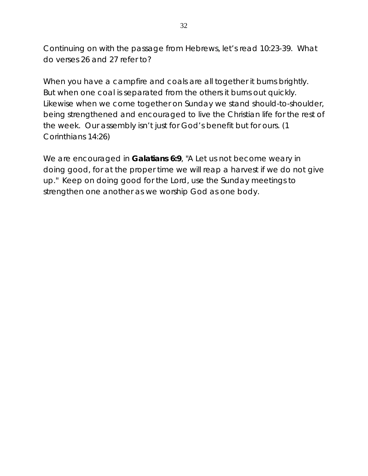Continuing on with the passage from Hebrews, let's read 10:23-39. What do verses 26 and 27 refer to?

When you have a campfire and coals are all together it burns brightly. But when one coal is separated from the others it burns out quickly. Likewise when we come together on Sunday we stand should-to-shoulder, being strengthened and encouraged to live the Christian life for the rest of the week. Our assembly isn't just for God's benefit but for ours. (1 Corinthians 14:26)

We are encouraged in **Galatians 6:9**, *"A Let us not become weary in doing good, for at the proper time we will reap a harvest if we do not give up."* Keep on doing good for the Lord, use the Sunday meetings to strengthen one another as we worship God as one body.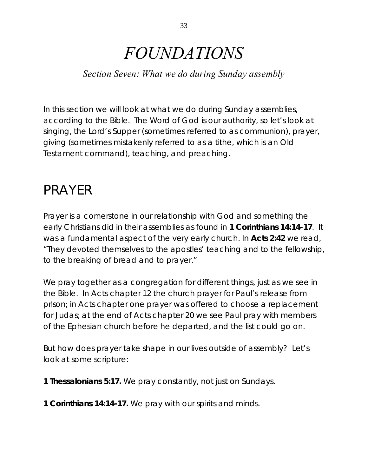## *FOUNDATIONS*

### *Section Seven: What we do during Sunday assembly*

In this section we will look at what we do during Sunday assemblies, according to the Bible. The Word of God is our authority, so let's look at singing, the Lord's Supper (sometimes referred to as communion), prayer, giving (sometimes mistakenly referred to as a tithe, which is an Old Testament command), teaching, and preaching.

### PRAYER

Prayer is a cornerstone in our relationship with God and something the early Christians did in their assemblies as found in **1 Corinthians 14:14-17**. It was a fundamental aspect of the very early church. In **Acts 2:42** we read, "They devoted themselves to the apostles' teaching and to the fellowship, to the breaking of bread and to prayer."

We pray together as a congregation for different things, just as we see in the Bible. In Acts chapter 12 the church prayer for Paul's release from prison; in Acts chapter one prayer was offered to choose a replacement for Judas; at the end of Acts chapter 20 we see Paul pray with members of the Ephesian church before he departed, and the list could go on.

But how does prayer take shape in our lives outside of assembly? Let's look at some scripture:

**1 Thessalonians 5:17.** We pray constantly, not just on Sundays.

**1 Corinthians 14:14-17.** We pray with our spirits and minds.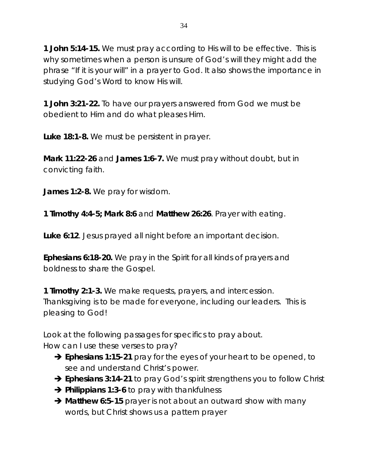**1 John 5:14-15.** We must pray according to His will to be effective. This is why sometimes when a person is unsure of God's will they might add the phrase "If it is your will" in a prayer to God. It also shows the importance in studying God's Word to know His will.

**1 John 3:21-22.** To have our prayers answered from God we must be obedient to Him and do what pleases Him.

**Luke 18:1-8.** We must be persistent in prayer.

**Mark 11:22-26** and **James 1:6-7.** We must pray without doubt, but in convicting faith.

**James 1:2-8.** We pray for wisdom.

**1 Timothy 4:4-5; Mark 8:6** and **Matthew 26:26**. Prayer with eating.

**Luke 6:12**. Jesus prayed all night before an important decision.

**Ephesians 6:18-20.** We pray in the Spirit for all kinds of prayers and boldness to share the Gospel.

**1 Timothy 2:1-3.** We make requests, prayers, and intercession. Thanksgiving is to be made for everyone, including our leaders. This is pleasing to God!

Look at the following passages for specifics to pray about. How can I use these verses to pray?

- **Ephesians 1:15-21** pray for the eyes of your heart to be opened, to see and understand Christ's power.
- **Ephesians 3:14-21** to pray God's spirit strengthens you to follow Christ
- **→ Philippians 1:3-6** to pray with thankfulness
- **→ Matthew 6:5-15** prayer is not about an outward show with many words, but Christ shows us a pattern prayer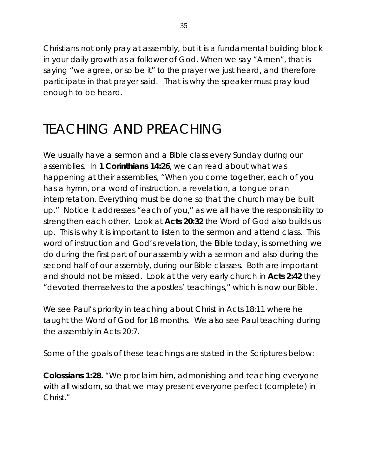Christians not only pray at assembly, but it is a fundamental building block in your daily growth as a follower of God. When we say "Amen", that is saying "we agree, or so be it" to the prayer we just heard, and therefore participate in that prayer said. That is why the speaker must pray loud enough to be heard.

## TEACHING AND PREACHING

We usually have a sermon and a Bible class every Sunday during our assemblies. In **1 Corinthians 14:26**, we can read about what was happening at their assemblies, "When you come together, each of you has a hymn, or a word of instruction, a revelation, a tongue or an interpretation. Everything must be done so that the church may be built up." Notice it addresses "each of you," as we all have the responsibility to strengthen each other. Look at **Acts 20:32** the Word of God also builds us up. This is why it is important to listen to the sermon and attend class. This word of instruction and God's revelation, the Bible today, is something we do during the first part of our assembly with a sermon and also during the second half of our assembly, during our Bible classes. Both are important and should not be missed. Look at the very early church in **Acts 2:42** they " devoted themselves to the apostles' teachings," which is now our Bible.

We see Paul's priority in teaching about Christ in Acts 18:11 where he taught the Word of God for 18 months. We also see Paul teaching during the assembly in Acts 20:7.

Some of the goals of these teachings are stated in the Scriptures below:

**Colossians 1:28.** *"We proclaim him, admonishing and teaching everyone with all wisdom, so that we may present everyone perfect (complete) in Christ."*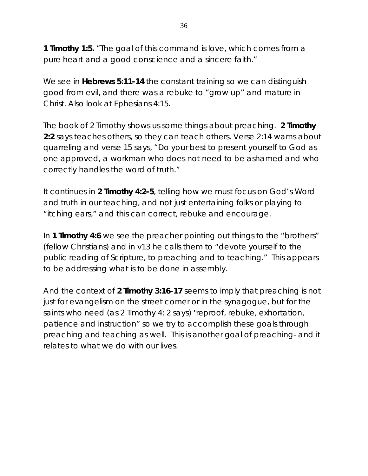**1 Timothy 1:5.** *"The goal of this command is love, which comes from a pure heart and a good conscience and a sincere faith."*

We see in **Hebrews 5:11-14** the constant training so we can distinguish good from evil, and there was a rebuke to "grow up" and mature in Christ. Also look at Ephesians 4:15.

The book of 2 Timothy shows us some things about preaching. **2 Timothy 2:2** says teaches others, so they can teach others. Verse 2:14 warns about quarreling and verse 15 says, *"Do your best to present yourself to God as one approved, a workman who does not need to be ashamed and who correctly handles the word of truth."*

It continues in **2 Timothy 4:2-5**, telling how we must focus on God's Word and truth in our teaching, and not just entertaining folks or playing to "itching ears," and this can correct, rebuke and encourage.

In **1 Timothy 4:6** we see the preacher pointing out things to the "brothers" (fellow Christians) and in v13 he calls them to "devote yourself to the public reading of Scripture, to preaching and to teaching." This appears to be addressing what is to be done in assembly.

And the context of **2 Timothy 3:16-17** seems to imply that preaching is not just for evangelism on the street corner or in the synagogue, but for the saints who need (as 2 Timothy 4: 2 says) "reproof, rebuke, exhortation, patience and instruction" so we try to accomplish these goals through preaching and teaching as well. This is another goal of preaching- and it relates to what we do with our lives.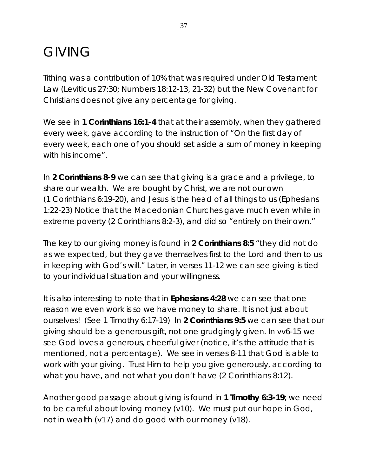## GIVING

Tithing was a contribution of 10% that was required under Old Testament Law (Leviticus 27:30; Numbers 18:12-13, 21-32) but the New Covenant for Christians does not give any percentage for giving.

We see in **1 Corinthians 16:1-4** that at their assembly, when they gathered every week, gave according to the instruction of "On the first day of every week, each one of you should set aside a sum of money in keeping with his income".

In **2 Corinthians 8-9** we can see that giving is a grace and a privilege, to share our wealth. We are bought by Christ, we are not our own (1 Corinthians 6:19-20), and Jesus is the head of all things to us (Ephesians 1:22-23) Notice that the Macedonian Churches gave much even while in extreme poverty (2 Corinthians 8:2-3), and did so "entirely on their own."

The key to our giving money is found in **2 Corinthians 8:5** *"they did not do as we expected, but they gave themselves first to the Lord and then to us in keeping with God's will."* Later, in verses 11-12 we can see giving is tied to your individual situation and your willingness.

It is also interesting to note that in **Ephesians 4:28** we can see that one reason we even work is so we have money to share. It is not just about ourselves! (See 1 Timothy 6:17-19) In **2 Corinthians 9:5** we can see that our giving should be a generous gift, not one grudgingly given. In vv6-15 we see God loves a generous, cheerful giver (notice, it's the attitude that is mentioned, not a percentage). We see in verses 8-11 that God is able to work with your giving. Trust Him to help you give generously, according to what you have, and not what you don't have (2 Corinthians 8:12).

Another good passage about giving is found in **1 Timothy 6:3-19**; we need to be careful about loving money (v10). We must put our hope in God, not in wealth (v17) and do good with our money (v18).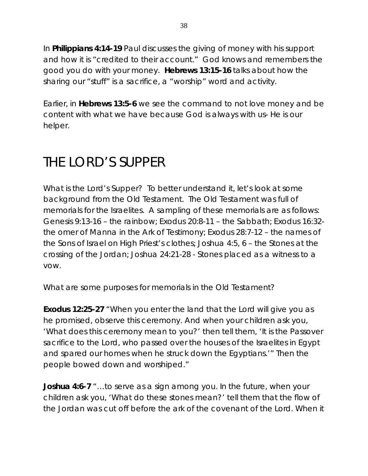In **Philippians 4:14-19** Paul discusses the giving of money with his support and how it is "credited to their account." God knows and remembers the good you do with your money. **Hebrews 13:15-16** talks about how the sharing our "stuff" is a sacrifice, a "worship" word and activity.

Earlier, in **Hebrews 13:5-6** we see the command to not love money and be content with what we have because God is always with us- He is our helper.

## THE LORD'S SUPPER

What is the Lord's Supper? To better understand it, let's look at some background from the Old Testament. The Old Testament was full of memorials for the Israelites. A sampling of these memorials are as follows: Genesis 9:13-16 – the rainbow; Exodus 20:8-11 – the Sabbath; Exodus 16:32 the omer of Manna in the Ark of Testimony; Exodus 28:7-12 – the names of the Sons of Israel on High Priest's clothes; Joshua 4:5, 6 – the Stones at the crossing of the Jordan; Joshua 24:21-28 - Stones placed as a witness to a vow.

What are some purposes for memorials in the Old Testament?

**Exodus 12:25-27** *"When you enter the land that the Lord will give you as he promised, observe this ceremony. And when your children ask you, 'What does this ceremony mean to you?' then tell them, 'It is the Passover sacrifice to the Lord, who passed over the houses of the Israelites in Egypt and spared our homes when he struck down the Egyptians.'" Then the people bowed down and worshiped."*

**Joshua 4:6-7** *"…to serve as a sign among you. In the future, when your children ask you, 'What do these stones mean?' tell them that the flow of*  the Jordan was cut off before the ark of the covenant of the Lord. When it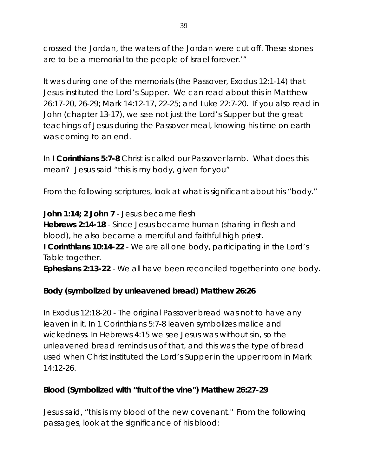*crossed the Jordan, the waters of the Jordan were cut off. These stones are to be a memorial to the people of Israel forever.'"*

It was during one of the memorials (the Passover, Exodus 12:1-14) that Jesus instituted the Lord's Supper. We can read about this in Matthew 26:17-20, 26-29; Mark 14:12-17, 22-25; and Luke 22:7-20. If you also read in John (chapter 13-17), we see not just the Lord's Supper but the great teachings of Jesus during the Passover meal, knowing his time on earth was coming to an end.

In **I Corinthians 5:7-8** Christ is called our Passover lamb. What does this mean? Jesus said "this is my body, given for you"

From the following scriptures, look at what is significant about his "body."

**John 1:14; 2 John 7** - Jesus became flesh

**Hebrews 2:14-18** - Since Jesus became human (sharing in flesh and blood), he also became a merciful and faithful high priest.

**I Corinthians 10:14-22** - We are all one body, participating in the Lord's Table together.

**Ephesians 2:13-22** - We all have been reconciled together into one body.

### **Body (symbolized by unleavened bread) Matthew 26:26**

In Exodus 12:18-20 - The original Passover bread was not to have any leaven in it. In 1 Corinthians 5:7-8 leaven symbolizes malice and wickedness. In Hebrews 4:15 we see Jesus was without sin, so the unleavened bread reminds us of that, and this was the type of bread used when Christ instituted the Lord's Supper in the upper room in Mark 14:12-26.

### **Blood (Symbolized with "fruit of the vine") Matthew 26:27-29**

Jesus said, "this is my blood of the new covenant." From the following passages, look at the significance of his blood: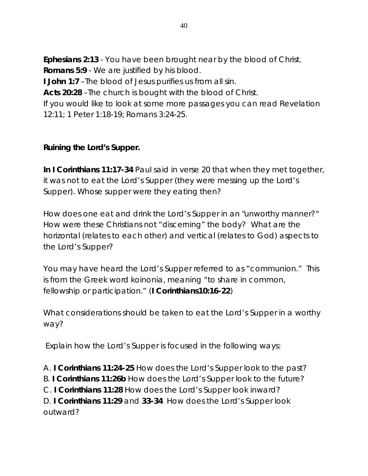**Ephesians 2:13** - You have been brought near by the blood of Christ. **Romans 5:9** - We are justified by his blood. **I John 1:7** –The blood of Jesus purifies us from all sin.

**Acts 20:28** –The church is bought with the blood of Christ.

If you would like to look at some more passages you can read Revelation 12:11; 1 Peter 1:18-19; Romans 3:24-25.

### **Ruining the Lord's Supper.**

**In I Corinthians 11:17-34** Paul said in verse 20 that when they met together, it was not to eat the Lord's Supper (they were messing up the Lord's Supper). Whose supper were they eating then?

How does one eat and drink the Lord's Supper in an "unworthy manner?" How were these Christians not "discerning" the body? What are the horizontal (relates to each other) and vertical (relates to God) aspects to the Lord's Supper?

You may have heard the Lord's Supper referred to as "communion." This is from the Greek word koinonia, meaning "to share in common, fellowship or participation." (**I Corinthians10:16-22**)

What considerations should be taken to eat the Lord's Supper in a worthy way?

Explain how the Lord's Supper is focused in the following ways:

A. **I Corinthians 11:24-25** How does the Lord's Supper look to the past?

B. **I Corinthians 11:26b** How does the Lord's Supper look to the future?

C. **I Corinthians 11:28** How does the Lord's Supper look inward?

D. **I Corinthians 11:29** and **33-34** How does the Lord's Supper look outward?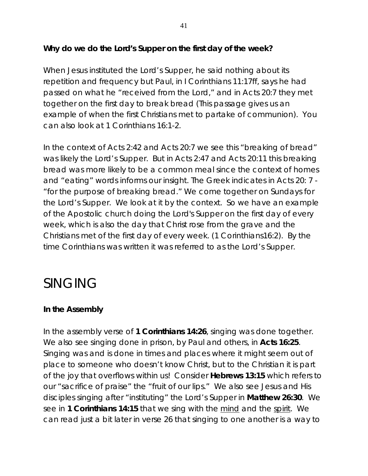When Jesus instituted the Lord's Supper, he said nothing about its repetition and frequency but Paul, in I Corinthians 11:17ff, says he had passed on what he "received from the Lord," and in Acts 20:7 they met together on the first day to break bread (This passage gives us an example of when the first Christians met to partake of communion). You can also look at 1 Corinthians 16:1-2.

In the context of Acts 2:42 and Acts 20:7 we see this "breaking of bread" was likely the Lord's Supper. But in Acts 2:47 and Acts 20:11 this breaking bread was more likely to be a common meal since the context of homes and "eating" words informs our insight. The Greek indicates in Acts 20: 7 - "for the purpose of breaking bread." We come together on Sundays for the Lord's Supper. We look at it by the context. So we have an example of the Apostolic church doing the Lord's Supper on the first day of every week, which is also the day that Christ rose from the grave and the Christians met of the first day of every week. (1 Corinthians16:2). By the time Corinthians was written it was referred to as the Lord's Supper.

## SINGING

### **In the Assembly**

In the assembly verse of **1 Corinthians 14:26**, singing was done together. We also see singing done in prison, by Paul and others, in **Acts 16:25**. Singing was and is done in times and places where it might seem out of place to someone who doesn't know Christ, but to the Christian it is part of the joy that overflows within us! Consider **Hebrews 13:15** which refers to our "sacrifice of praise" the "fruit of our lips." We also see Jesus and His disciples singing after "instituting" the Lord's Supper in **Matthew 26:30**. We see in **1 Corinthians 14:15** that we sing with the mind and the spirit. We can read just a bit later in verse 26 that singing to one another is a way to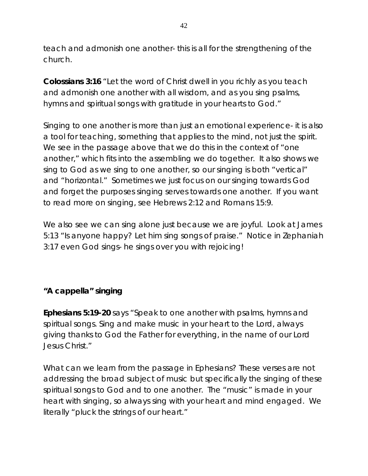teach and admonish one another- this is all for the strengthening of the church.

**Colossians 3:16** *"Let the word of Christ dwell in you richly as you teach and admonish one another with all wisdom, and as you sing psalms, hymns and spiritual songs with gratitude in your hearts to God."*

Singing to one another is more than just an emotional experience- it is also a tool for teaching, something that applies to the mind, not just the spirit. We see in the passage above that we do this in the context of "one another," which fits into the assembling we do together. It also shows we sing to God as we sing to one another, so our singing is both "vertical" and "horizontal." Sometimes we just focus on our singing towards God and forget the purposes singing serves towards one another. If you want to read more on singing, see Hebrews 2:12 and Romans 15:9.

We also see we can sing alone just because we are joyful. Look at James 5:13 *"Is anyone happy? Let him sing songs of praise."* Notice in Zephaniah 3:17 even God sings- he sings over you with rejoicing!

### **"A cappella" singing**

**Ephesians 5:19-20** says *"Speak to one another with psalms, hymns and spiritual songs. Sing and make music in your heart to the Lord, always giving thanks to God the Father for everything, in the name of our Lord Jesus Christ."*

What can we learn from the passage in Ephesians? These verses are not addressing the broad subject of music but specifically the singing of these spiritual songs to God and to one another. The "music" is made in your heart with singing, so always sing with your heart and mind engaged. We literally "pluck the strings of our heart."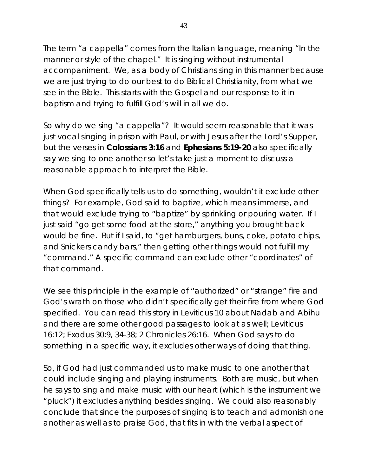The term "a cappella" comes from the Italian language, meaning "In the manner or style of the chapel." It is singing without instrumental accompaniment. We, as a body of Christians sing in this manner because we are just trying to do our best to do Biblical Christianity, from what we see in the Bible. This starts with the Gospel and our response to it in baptism and trying to fulfill God's will in all we do.

So why do we sing "a cappella"? It would seem reasonable that it was just vocal singing in prison with Paul, or with Jesus after the Lord's Supper, but the verses in **Colossians 3:16** and **Ephesians 5:19-20** also specifically say we sing to one another so let's take just a moment to discuss a reasonable approach to interpret the Bible.

When God specifically tells us to do something, wouldn't it exclude other things? For example, God said to baptize, which means immerse, and that would exclude trying to "baptize" by sprinkling or pouring water. If I just said "go get some food at the store," anything you brought back would be fine. But if I said, to "get hamburgers, buns, coke, potato chips, and Snickers candy bars," then getting other things would not fulfill my "command." A specific command can exclude other "coordinates" of that command.

We see this principle in the example of "authorized" or "strange" fire and God's wrath on those who didn't specifically get their fire from where God specified. You can read this story in Leviticus 10 about Nadab and Abihu and there are some other good passages to look at as well; Leviticus 16:12; Exodus 30:9, 34-38; 2 Chronicles 26:16. When God says to do something in a specific way, it excludes other ways of doing that thing.

So, if God had just commanded us to make music to one another that could include singing and playing instruments. Both are music, but when he says to sing and make music with our heart (which is the instrument we "pluck") it excludes anything besides singing. We could also reasonably conclude that since the purposes of singing is to teach and admonish one another as well as to praise God, that fits in with the verbal aspect of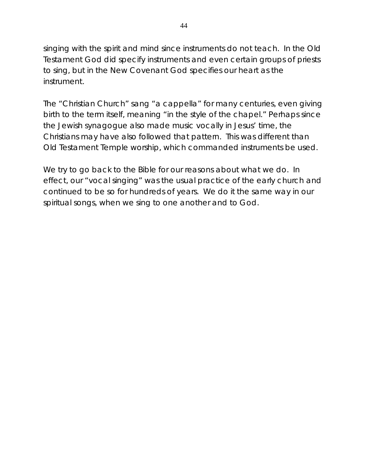singing with the spirit and mind since instruments do not teach. In the Old Testament God did specify instruments and even certain groups of priests to sing, but in the New Covenant God specifies our heart as the instrument.

The "Christian Church" sang "a cappella" for many centuries, even giving birth to the term itself, meaning "in the style of the chapel." Perhaps since the Jewish synagogue also made music vocally in Jesus' time, the Christians may have also followed that pattern. This was different than Old Testament Temple worship, which commanded instruments be used.

We try to go back to the Bible for our reasons about what we do. In effect, our "vocal singing" was the usual practice of the early church and continued to be so for hundreds of years. We do it the same way in our spiritual songs, when we sing to one another and to God.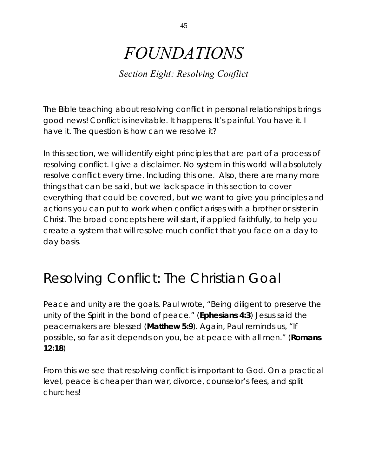# *FOUNDATIONS*

*Section Eight: Resolving Conflict*

The Bible teaching about resolving conflict in personal relationships brings good news! Conflict is inevitable. It happens. It's painful. You have it. I have it. The question is how can we resolve it?

In this section, we will identify eight principles that are part of a process of resolving conflict. I give a disclaimer. No system in this world will absolutely resolve conflict every time. Including this one. Also, there are many more things that can be said, but we lack space in this section to cover everything that could be covered, but we want to give you principles and actions you can put to work when conflict arises with a brother or sister in Christ. The broad concepts here will start, if applied faithfully, to help you create a system that will resolve much conflict that you face on a day to day basis.

## Resolving Conflict: The Christian Goal

Peace and unity are the goals. Paul wrote, *"Being diligent to preserve the unity of the Spirit in the bond of peace*." (**Ephesians 4:3**) Jesus said the peacemakers are blessed (**Matthew 5:9**). Again, Paul reminds us, *"If possible, so far as it depends on you, be at peace with all men."* (**Romans 12:18**)

From this we see that resolving conflict is important to God. On a practical level, peace is cheaper than war, divorce, counselor's fees, and split churches!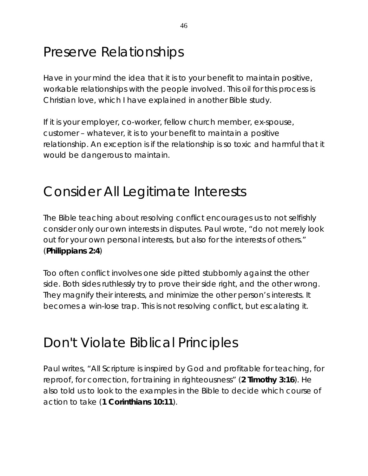## Preserve Relationships

Have in your mind the idea that it is to your benefit to maintain positive, workable relationships with the people involved. This oil for this process is Christian love, which I have explained in another Bible study.

If it is your employer, co-worker, fellow church member, ex-spouse, customer – whatever, it is to your benefit to maintain a positive relationship. An exception is if the relationship is so toxic and harmful that it would be dangerous to maintain.

### Consider All Legitimate Interests

The Bible teaching about resolving conflict encourages us to not selfishly consider only our own interests in disputes. Paul wrote, *"do not merely look out for your own personal interests, but also for the interests of others."* (**Philippians 2:4**)

Too often conflict involves one side pitted stubbornly against the other side. Both sides ruthlessly try to prove their side right, and the other wrong. They magnify their interests, and minimize the other person's interests. It becomes a win-lose trap. This is not resolving conflict, but escalating it.

### Don't Violate Biblical Principles

Paul writes, *"All Scripture is inspired by God and profitable for teaching, for reproof, for correction, for training in righteousness"* (**2 Timothy 3:16**). He also told us to look to the examples in the Bible to decide which course of action to take (**1 Corinthians 10:11**).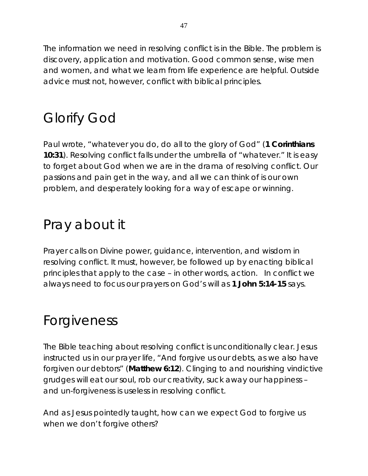The information we need in resolving conflict is in the Bible. The problem is discovery, application and motivation. Good common sense, wise men and women, and what we learn from life experience are helpful. Outside advice must not, however, conflict with biblical principles.

## Glorify God

Paul wrote, *"whatever you do, do all to the glory of God"* (**1 Corinthians 10:31**). Resolving conflict falls under the umbrella of "whatever." It is easy to forget about God when we are in the drama of resolving conflict. Our passions and pain get in the way, and all we can think of is our own problem, and desperately looking for a way of escape or winning.

## Pray about it

Prayer calls on Divine power, guidance, intervention, and wisdom in resolving conflict. It must, however, be followed up by enacting biblical principles that apply to the case – in other words, action. In conflict we always need to focus our prayers on God's will as **1 John 5:14-15** says.

## Forgiveness

The Bible teaching about resolving conflict is unconditionally clear. Jesus instructed us in our prayer life, *"And forgive us our debts, as we also have forgiven our debtors"* (**Matthew 6:12**). Clinging to and nourishing vindictive grudges will eat our soul, rob our creativity, suck away our happiness – and un-forgiveness is useless in resolving conflict.

And as Jesus pointedly taught, how can we expect God to forgive us when we don't forgive others?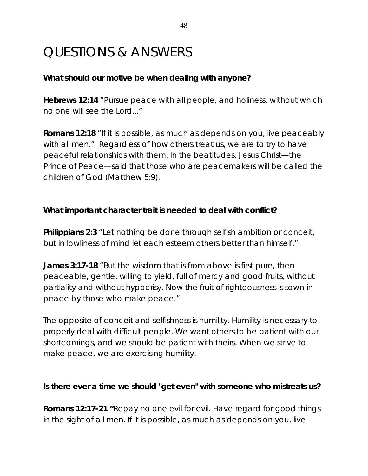## QUESTIONS & ANSWERS

#### **What should our motive be when dealing with anyone?**

**Hebrews 12:14** *"Pursue peace with all people, and holiness, without which no one will see the Lord..."*

**Romans 12:18** *"If it is possible, as much as depends on you, live peaceably with all men."* Regardless of how others treat us, we are to try to have peaceful relationships with them. In the beatitudes, Jesus Christ—the Prince of Peace—said that those who are peacemakers will be called the children of God (Matthew 5:9).

#### **What important character trait is needed to deal with conflict?**

**Philippians 2:3** *"Let nothing be done through selfish ambition or conceit, but in lowliness of mind let each esteem others better than himself."*

**James 3:17-18** *"But the wisdom that is from above is first pure, then peaceable, gentle, willing to yield, full of mercy and good fruits, without partiality and without hypocrisy. Now the fruit of righteousness is sown in peace by those who make peace."*

The opposite of conceit and selfishness is humility. Humility is necessary to properly deal with difficult people. We want others to be patient with our shortcomings, and we should be patient with theirs. When we strive to make peace, we are exercising humility.

#### **Is there ever a time we should "get even" with someone who mistreats us?**

**Romans 12:17-21** *"Repay no one evil for evil. Have regard for good things in the sight of all men. If it is possible, as much as depends on you, live*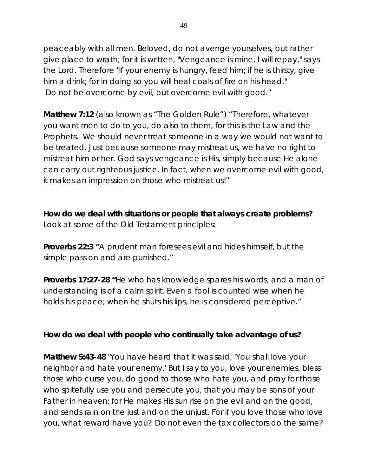*peaceably with all men. Beloved, do not avenge yourselves, but rather give place to wrath; for it is written, "Vengeance is mine, I will repay," says the Lord. Therefore "If your enemy is hungry, feed him; if he is thirsty, give him a drink; for in doing so you will heal coals of fire on his head." Do not be overcome by evil, but overcome evil with good."*

**Matthew 7:12** (also known as "The Golden Rule") *"Therefore, whatever you want men to do to you, do also to them, for this is the Law and the Prophets. We should never treat someone in a way we would not want to be treated. Just because someone may mistreat us, we have no right to mistreat him or her. God says vengeance is His, simply because He alone can carry out righteous justice. In fact, when we overcome evil with good, it makes an impression on those who mistreat us!"*

**How do we deal with situations or people that always create problems?** Look at some of the Old Testament principles:

**Proverbs 22:3 "**A prudent man foresees evil and hides himself, but the simple pass on and are punished."

**Proverbs 17:27-28 "**He who has knowledge spares his words, and a man of understanding is of a calm spirit. Even a fool is counted wise when he holds his peace; when he shuts his lips, he is considered perceptive."

### **How do we deal with people who continually take advantage of us?**

**Matthew 5:43-48** *"You have heard that it was said, 'You shall love your neighbor and hate your enemy.' But I say to you, love your enemies, bless those who curse you, do good to those who hate you, and pray for those who spitefully use you and persecute you, that you may be sons of your Father in heaven; for He makes His sun rise on the evil and on the good, and sends rain on the just and on the unjust. For if you love those who love you, what reward have you? Do not even the tax collectors do the same?*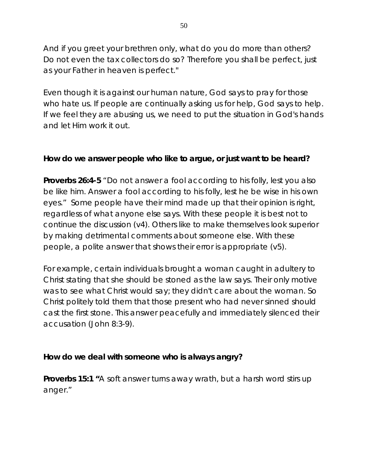*And if you greet your brethren only, what do you do more than others? Do not even the tax collectors do so? Therefore you shall be perfect, just as your Father in heaven is perfect."*

Even though it is against our human nature, God says to pray for those who hate us. If people are continually asking us for help, God says to help. If we feel they are abusing us, we need to put the situation in God's hands and let Him work it out.

### **How do we answer people who like to argue, or just want to be heard?**

**Proverbs 26:4-5** *"Do not answer a fool according to his folly, lest you also be like him. Answer a fool according to his folly, lest he be wise in his own eyes."* Some people have their mind made up that their opinion is right, regardless of what anyone else says. With these people it is best not to continue the discussion (v4). Others like to make themselves look superior by making detrimental comments about someone else. With these people, a polite answer that shows their error is appropriate (v5).

For example, certain individuals brought a woman caught in adultery to Christ stating that she should be stoned as the law says. Their only motive was to see what Christ would say; they didn't care about the woman. So Christ politely told them that those present who had never sinned should cast the first stone. This answer peacefully and immediately silenced their accusation (John 8:3-9).

### **How do we deal with someone who is always angry?**

**Proverbs 15:1 "**A soft answer turns away wrath, but a harsh word stirs up anger."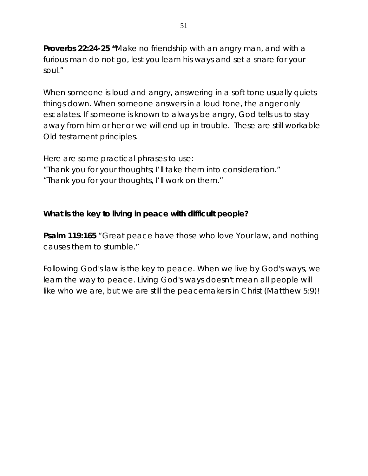**Proverbs 22:24-25 "**Make no friendship with an angry man, and with a furious man do not go, lest you learn his ways and set a snare for your soul."

When someone is loud and angry, answering in a soft tone usually quiets things down. When someone answers in a loud tone, the anger only escalates. If someone is known to always be angry, God tells us to stay away from him or her or we will end up in trouble. These are still workable Old testament principles.

Here are some practical phrases to use:

"Thank you for your thoughts; I'll take them into consideration."

"Thank you for your thoughts, I'll work on them."

### **What is the key to living in peace with difficult people?**

**Psalm 119:165** *"Great peace have those who love Your law, and nothing causes them to stumble."*

Following God's law is the key to peace. When we live by God's ways, we learn the way to peace. Living God's ways doesn't mean all people will like who we are, but we are still the peacemakers in Christ (Matthew 5:9)!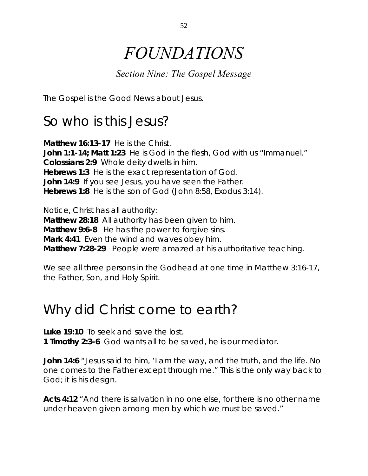# *FOUNDATIONS*

### *Section Nine: The Gospel Message*

The Gospel is the Good News about Jesus.

### So who is this Jesus?

**Matthew 16:13-17** He is the Christ. **John 1:1-14; Matt 1:23** He is God in the flesh, God with us "Immanuel." **Colossians 2:9** Whole deity dwells in him. **Hebrews 1:3** He is the exact representation of God. **John 14:9** If you see Jesus, you have seen the Father. **Hebrews 1:8** He is the son of God (John 8:58, Exodus 3:14).

Notice, Christ has all authority:

**Matthew 28:18** All authority has been given to him. **Matthew 9:6-8** He has the power to forgive sins. **Mark 4:41** Even the wind and waves obey him. **Matthew 7:28-29** People were amazed at his authoritative teaching.

We see all three persons in the Godhead at one time in Matthew 3:16-17, the Father, Son, and Holy Spirit.

## Why did Christ come to earth?

**Luke 19:10** To seek and save the lost.

**1 Timothy 2:3-6** God wants all to be saved, he is our mediator.

**John 14:6** *"Jesus said to him, 'I am the way, and the truth, and the life. No one comes to the Father except through me."* This is the only way back to God; it is his design.

**Acts 4:12** *"And there is salvation in no one else, for there is no other name under heaven given among men by which we must be saved."*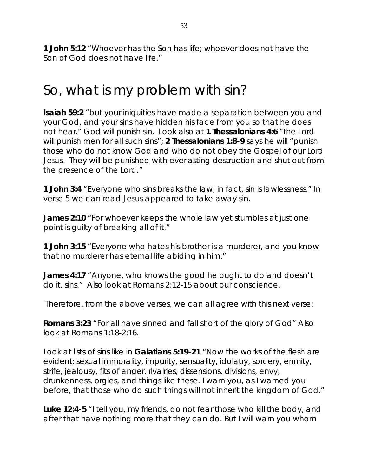**1 John 5:12** *"Whoever has the Son has life; whoever does not have the Son of God does not have life."*

### So, what is my problem with sin?

**Isaiah 59:2** *"but your iniquities have made a separation between you and your God, and your sins have hidden his face from you so that he does not hear."* God will punish sin. Look also at **1 Thessalonians 4:6** *"the Lord will punish men for all such sins"*; **2 Thessalonians 1:8-9** says he will *"punish those who do not know God and who do not obey the Gospel of our Lord Jesus. They will be punished with everlasting destruction and shut out from the presence of the Lord."*

**1 John 3:4** *"Everyone who sins breaks the law; in fact, sin is lawlessness."* In verse 5 we can read Jesus appeared to take away sin.

**James 2:10** *"For whoever keeps the whole law yet stumbles at just one point is guilty of breaking all of it."*

**1 John 3:15** "Everyone who hates his brother is a murderer, and you know that no murderer has eternal life abiding in him."

**James 4:17** *"Anyone, who knows the good he ought to do and doesn't do it, sins."* Also look at Romans 2:12-15 about our conscience.

Therefore, from the above verses, we can all agree with this next verse:

**Romans 3:23** *"For all have sinned and fall short of the glory of God"* Also look at Romans 1:18-2:16.

Look at lists of sins like in **Galatians 5:19-21** *"Now the works of the flesh are evident: sexual immorality, impurity, sensuality, idolatry, sorcery, enmity, strife, jealousy, fits of anger, rivalries, dissensions, divisions, envy, drunkenness, orgies, and things like these. I warn you, as I warned you before, that those who do such things will not inherit the kingdom of God."*

**Luke 12:4-5** *"I tell you, my friends, do not fear those who kill the body, and after that have nothing more that they can do. But I will warn you whom*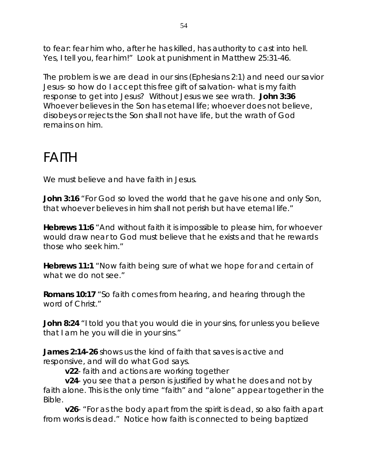*to fear: fear him who, after he has killed, has authority to cast into hell. Yes, I tell you, fear him!"* Look at punishment in Matthew 25:31-46.

The problem is we are dead in our sins (Ephesians 2:1) and need our savior Jesus- so how do I accept this free gift of salvation- what is my faith response to get into Jesus? Without Jesus we see wrath. **John 3:36** *Whoever believes in the Son has eternal life; whoever does not believe, disobeys or rejects the Son shall not have life, but the wrath of God remains on him.*

### FAITH

We must believe and have faith in Jesus.

**John 3:16** *"For God so loved the world that he gave his one and only Son, that whoever believes in him shall not perish but have eternal life."*

**Hebrews 11:6** *"And without faith it is impossible to please him, for whoever would draw near to God must believe that he exists and that he rewards those who seek him."*

**Hebrews 11:1** *"Now faith being sure of what we hope for and certain of what we do not see."*

**Romans 10:17** *"So faith comes from hearing, and hearing through the word of Christ."*

**John 8:24** *"I told you that you would die in your sins, for unless you believe that I am he you will die in your sins."*

**James 2:14-26** shows us the kind of faith that saves is active and responsive, and will do what God says.

**v22**- faith and actions are working together

**v24**- you see that a person is justified by what he does and not by faith alone. This is the only time "faith" and "alone" appear together in the Bible.

**v26**- *"For as the body apart from the spirit is dead, so also faith apart from works is dead."* Notice how faith is connected to being baptized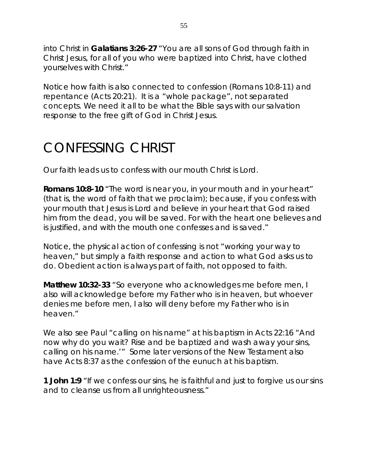into Christ in **Galatians 3:26-27** *"You are all sons of God through faith in Christ Jesus, for all of you who were baptized into Christ, have clothed yourselves with Christ."*

Notice how faith is also connected to confession (Romans 10:8-11) and repentance (Acts 20:21). It is a "whole package", not separated concepts. We need it all to be what the Bible says with our salvation response to the free gift of God in Christ Jesus.

## CONFESSING CHRIST

Our faith leads us to confess with our mouth Christ is Lord.

**Romans 10:8-10** *"The word is near you, in your mouth and in your heart" (that is, the word of faith that we proclaim); because, if you confess with your mouth that Jesus is Lord and believe in your heart that God raised him from the dead, you will be saved. For with the heart one believes and is justified, and with the mouth one confesses and is saved."*

Notice, the physical action of confessing is not "working your way to heaven," but simply a faith response and action to what God asks us to do. Obedient action is always part of faith, not opposed to faith.

**Matthew 10:32-33** "*So everyone who acknowledges me before men, I also will acknowledge before my Father who is in heaven, but whoever denies me before men, I also will deny before my Father who is in heaven."*

We also see Paul "calling on his name" at his baptism in Acts 22:16 "And now why do you wait? Rise and be baptized and wash away your sins, calling on his name.'" Some later versions of the New Testament also have Acts 8:37 as the confession of the eunuch at his baptism.

**1 John 1:9** *"If we confess our sins, he is faithful and just to forgive us our sins and to cleanse us from all unrighteousness."*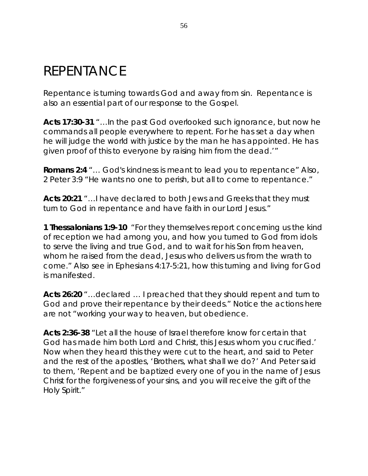## REPENTANCE

Repentance is turning towards God and away from sin. Repentance is also an essential part of our response to the Gospel.

**Acts 17:30-31** *"…In the past God overlooked such ignorance, but now he commands all people everywhere to repent. For he has set a day when he will judge the world with justice by the man he has appointed. He has given proof of this to everyone by raising him from the dead.'"*

**Romans 2:4** *"… God's kindness is meant to lead you to repentance"* Also, 2 Peter 3:9 *"He wants no one to perish, but all to come to repentance."*

**Acts 20:21** *"…I have declared to both Jews and Greeks that they must turn to God in repentance and have faith in our Lord Jesus."*

**1 Thessalonians 1:9-10** *"For they themselves report concerning us the kind of reception we had among you, and how you turned to God from idols to serve the living and true God, and to wait for his Son from heaven, whom he raised from the dead, Jesus who delivers us from the wrath to come."* Also see in Ephesians 4:17-5:21, how this turning and living for God is manifested.

**Acts 26:20** *"…declared … I preached that they should repent and turn to God and prove their repentance by their deeds."* Notice the actions here are not "working your way to heaven, but obedience.

**Acts 2:36-38** *"Let all the house of Israel therefore know for certain that God has made him both Lord and Christ, this Jesus whom you crucified.' Now when they heard this they were cut to the heart, and said to Peter and the rest of the apostles, 'Brothers, what shall we do?' And Peter said to them, 'Repent and be baptized every one of you in the name of Jesus Christ for the forgiveness of your sins, and you will receive the gift of the Holy Spirit."*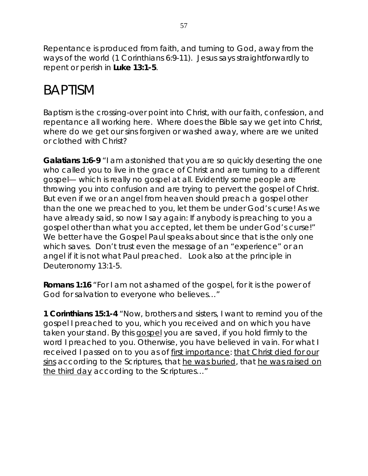Repentance is produced from faith, and turning to God, away from the ways of the world (1 Corinthians 6:9-11). Jesus says straightforwardly to repent or perish in **Luke 13:1-5**.

## BAPTISM

Baptism is the crossing-over point into Christ, with our faith, confession, and repentance all working here. Where does the Bible say we get into Christ, where do we get our sins forgiven or washed away, where are we united or clothed with Christ?

**Galatians 1:6-9** *"I am astonished that you are so quickly deserting the one who called you to live in the grace of Christ and are turning to a different gospel— which is really no gospel at all. Evidently some people are throwing you into confusion and are trying to pervert the gospel of Christ. But even if we or an angel from heaven should preach a gospel other than the one we preached to you, let them be under God's curse! As we have already said, so now I say again: If anybody is preaching to you a gospel other than what you accepted, let them be under God's curse!"* We better have the Gospel Paul speaks about since that is the only one which saves. Don't trust even the message of an "experience" or an angel if it is not what Paul preached. Look also at the principle in Deuteronomy 13:1-5.

**Romans 1:16** *"For I am not ashamed of the gospel, for it is the power of God for salvation to everyone who believes…"*

**1 Corinthians 15:1-4** *"Now, brothers and sisters, I want to remind you of the gospel I preached to you, which you received and on which you have taken your stand. By this gospel you are saved, if you hold firmly to the word I preached to you. Otherwise, you have believed in vain. For what I received I passed on to you as of first importance: that Christ died for our sins according to the Scriptures, that he was buried, that he was raised on the third day according to the Scriptures…"*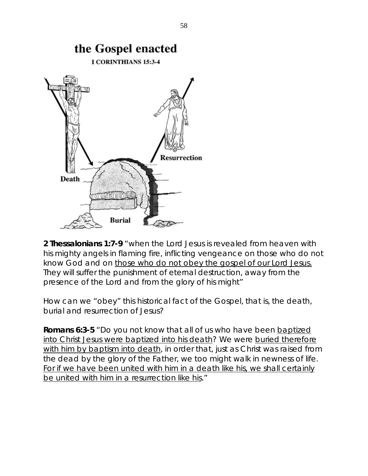

**2 Thessalonians 1:7-9** *"when the Lord Jesus is revealed from heaven with his mighty angels in flaming fire, inflicting vengeance on those who do not know God and on those who do not obey the gospel of our Lord Jesus. They will suffer the punishment of eternal destruction, away from the presence of the Lord and from the glory of his might"*

How can we "*obey"* this historical fact of the Gospel, that is, the death, burial and resurrection of Jesus?

**Romans 6:3-5** *"Do you not know that all of us who have been baptized into Christ Jesus were baptized into his death? We were buried therefore with him by baptism into death, in order that, just as Christ was raised from the dead by the glory of the Father, we too might walk in newness of life. For if we have been united with him in a death like his, we shall certainly be united with him in a resurrection like his."*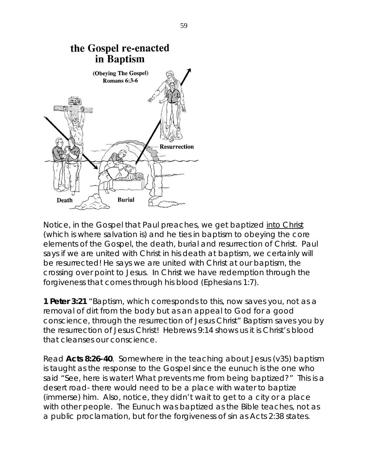

Notice, in the Gospel that Paul preaches, we get baptized into Christ (which is where salvation is) and he ties in baptism to obeying the core elements of the Gospel, the death, burial and resurrection of Christ. Paul says if we are united with Christ in his death at baptism, we certainly will be resurrected! He says we are united with Christ at our baptism, the crossing over point to Jesus. In Christ we have redemption through the forgiveness that comes through his blood (Ephesians 1:7).

**1 Peter 3:21** *"Baptism, which corresponds to this, now saves you, not as a removal of dirt from the body but as an appeal to God for a good conscience, through the resurrection of Jesus Christ"* Baptism saves you by the resurrection of Jesus Christ! Hebrews 9:14 shows us it is Christ's blood that cleanses our conscience.

Read **Acts 8:26-40**. Somewhere in the teaching about Jesus (v35) baptism is taught as the response to the Gospel since the eunuch is the one who said "See, here is water! What prevents me from being baptized?" This is a desert road- there would need to be a place with water to baptize (immerse) him. Also, notice, they didn't wait to get to a city or a place with other people. The Eunuch was baptized as the Bible teaches, not as a public proclamation, but for the forgiveness of sin as Acts 2:38 states.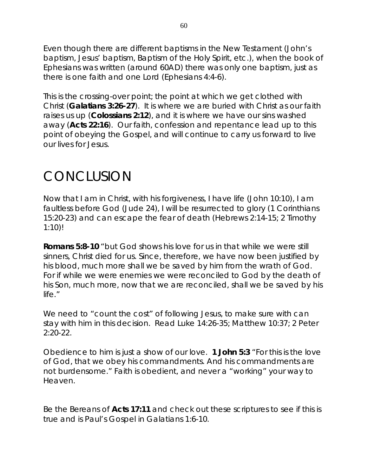Even though there are different baptisms in the New Testament (John's baptism, Jesus' baptism, Baptism of the Holy Spirit, etc.), when the book of Ephesians was written (around 60AD) there was only one baptism, just as there is one faith and one Lord (Ephesians 4:4-6).

This is the crossing-over point; the point at which we get clothed with Christ (**Galatians 3:26-27**). It is where we are buried with Christ as our faith raises us up (**Colossians 2:12**), and it is where we have our sins washed away (**Acts 22:16**). Our faith, confession and repentance lead up to this point of obeying the Gospel, and will continue to carry us forward to live our lives for Jesus.

## **CONCLUSION**

Now that I am in Christ, with his forgiveness, I have life (John 10:10), I am faultless before God (Jude 24), I will be resurrected to glory (1 Corinthians 15:20-23) and can escape the fear of death (Hebrews 2:14-15; 2 Timothy 1:10)!

**Romans 5:8-10** *"but God shows his love for us in that while we were still sinners, Christ died for us. Since, therefore, we have now been justified by his blood, much more shall we be saved by him from the wrath of God.*  For if while we were enemies we were reconciled to God by the death of *his Son, much more, now that we are reconciled, shall we be saved by his life."*

We need to "count the cost" of following Jesus, to make sure with can stay with him in this decision. Read Luke 14:26-35; Matthew 10:37; 2 Peter 2:20-22.

Obedience to him is just a show of our love. **1 John 5:3** *"For this is the love of God, that we obey his commandments. And his commandments are not burdensome." Faith is obedient, and never a "working" your way to Heaven.*

*Be the Bereans of Acts 17:11 and check out these scriptures to see if this is true and is Paul's Gospel in Galatians 1:6-10.*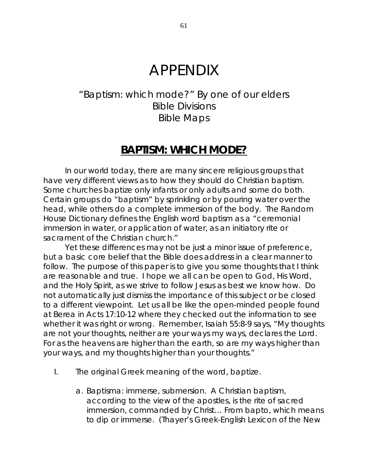## APPENDIX

### "Baptism: which mode?" By one of our elders Bible Divisions Bible Maps

### **BAPTISM: WHICH MODE?**

In our world today, there are many sincere religious groups that have very different views as to how they should do Christian baptism. Some churches baptize only infants or only adults and some do both. Certain groups do "baptism" by sprinkling or by pouring water over the head, while others do a complete immersion of the body. The Random House Dictionary defines the English word baptism as a "ceremonial immersion in water, or application of water, as an initiatory rite or sacrament of the Christian church."

Yet these differences may not be just a minor issue of preference, but a basic core belief that the Bible does address in a clear manner to follow. The purpose of this paper is to give you some thoughts that I think are reasonable and true. I hope we all can be open to God, His Word, and the Holy Spirit, as we strive to follow Jesus as best we know how. Do not automatically just dismiss the importance of this subject or be closed to a different viewpoint. Let us all be like the open-minded people found at Berea in Acts 17:10-12 where they checked out the information to see whether it was right or wrong. Remember, Isaiah 55:8-9 says, "My thoughts are not your thoughts, neither are your ways my ways, declares the Lord. For as the heavens are higher than the earth, so are my ways higher than your ways, and my thoughts higher than your thoughts."

- I. The original Greek meaning of the word, baptize.
	- a. Baptisma: immerse, submersion. A Christian baptism, according to the view of the apostles, is the rite of sacred immersion, commanded by Christ… From bapto, which means to dip or immerse. (Thayer's Greek-English Lexicon of the New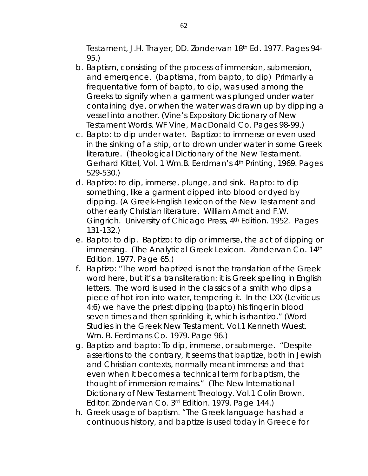Testament, J.H. Thayer, DD. Zondervan 18th Ed. 1977. Pages 94- 95.)

- b. Baptism, consisting of the process of immersion, submersion, and emergence. (baptisma, from bapto, to dip) Primarily a frequentative form of bapto, to dip, was used among the Greeks to signify when a garment was plunged under water containing dye, or when the water was drawn up by dipping a vessel into another. (Vine's Expository Dictionary of New Testament Words. WF Vine, MacDonald Co. Pages 98-99.)
- c. Bapto: to dip under water. Baptizo: to immerse or even used in the sinking of a ship, or to drown under water in some Greek literature. (Theological Dictionary of the New Testament. Gerhard Kittel, Vol. 1 Wm.B. Eerdman's 4th Printing, 1969. Pages 529-530.)
- d. Baptizo: to dip, immerse, plunge, and sink. Bapto: to dip something, like a garment dipped into blood or dyed by dipping. (A Greek-English Lexicon of the New Testament and other early Christian literature. William Arndt and F.W. Gingrich. University of Chicago Press, 4th Edition. 1952. Pages 131-132.)
- e. Bapto: to dip. Baptizo: to dip or immerse, the act of dipping or immersing. (The Analytical Greek Lexicon. Zondervan Co. 14<sup>th</sup> Edition. 1977. Page 65.)
- f. Baptizo: "The word baptized is not the translation of the Greek word here, but it's a transliteration: it is Greek spelling in English letters. The word is used in the classics of a smith who dips a piece of hot iron into water, tempering it. In the LXX (Leviticus 4:6) we have the priest dipping (bapto) his finger in blood seven times and then sprinkling it, which is rhantizo." (Word Studies in the Greek New Testament. Vol.1 Kenneth Wuest. Wm. B. Eerdmans Co. 1979. Page 96.)
- g. Baptizo and bapto: To dip, immerse, or submerge. "Despite assertions to the contrary, it seems that baptize, both in Jewish and Christian contexts, normally meant immerse and that even when it becomes a technical term for baptism, the thought of immersion remains." (The New International Dictionary of New Testament Theology. Vol.1 Colin Brown, Editor. Zondervan Co. 3rd Edition. 1979. Page 144.)
- h. Greek usage of baptism. "The Greek language has had a continuous history, and baptize is used today in Greece for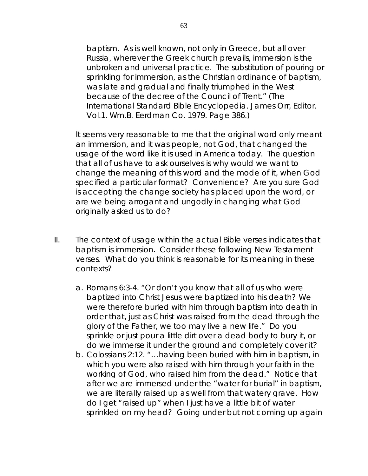baptism. As is well known, not only in Greece, but all over Russia, wherever the Greek church prevails, immersion is the unbroken and universal practice. The substitution of pouring or sprinkling for immersion, as the Christian ordinance of baptism, was late and gradual and finally triumphed in the West because of the decree of the Council of Trent." (The International Standard Bible Encyclopedia. James Orr, Editor. Vol.1. Wm.B. Eerdman Co. 1979. Page 386.)

It seems very reasonable to me that the original word only meant an immersion, and it was people, not God, that changed the usage of the word like it is used in America today. The question that all of us have to ask ourselves is why would we want to change the meaning of this word and the mode of it, when God specified a particular format? Convenience? Are you sure God is accepting the change society has placed upon the word, or are we being arrogant and ungodly in changing what God originally asked us to do?

- II. The context of usage within the actual Bible verses indicates that baptism is immersion. Consider these following New Testament verses. What do you think is reasonable for its meaning in these contexts?
	- a. Romans 6:3-4. "Or don't you know that all of us who were baptized into Christ Jesus were baptized into his death? We were therefore buried with him through baptism into death in order that, just as Christ was raised from the dead through the glory of the Father, we too may live a new life." Do you sprinkle or just pour a little dirt over a dead body to bury it, or do we immerse it under the ground and completely cover it?
	- b. Colossians 2:12. "…having been buried with him in baptism, in which you were also raised with him through your faith in the working of God, who raised him from the dead." Notice that after we are immersed under the "water for burial" in baptism, we are literally raised up as well from that watery grave. How do I get "raised up" when I just have a little bit of water sprinkled on my head? Going under but not coming up again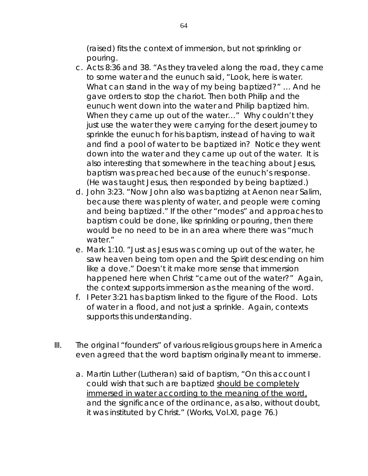(raised) fits the context of immersion, but not sprinkling or pouring.

- c. Acts 8:36 and 38. "As they traveled along the road, they came to some water and the eunuch said, "Look, here is water. What can stand in the way of my being baptized?" … And he gave orders to stop the chariot. Then both Philip and the eunuch went down into the water and Philip baptized him. When they came up out of the water…" Why couldn't they just use the water they were carrying for the desert journey to sprinkle the eunuch for his baptism, instead of having to wait and find a pool of water to be baptized in? Notice they went down into the water and they came up out of the water. It is also interesting that somewhere in the teaching about Jesus, baptism was preached because of the eunuch's response. (He was taught Jesus, then responded by being baptized.)
- d. John 3:23. "Now John also was baptizing at Aenon near Salim, because there was plenty of water, and people were coming and being baptized." If the other "modes" and approaches to baptism could be done, like sprinkling or pouring, then there would be no need to be in an area where there was "much water."
- e. Mark 1:10. "Just as Jesus was coming up out of the water, he saw heaven being torn open and the Spirit descending on him like a dove." Doesn't it make more sense that immersion happened here when Christ "came out of the water?" Again, the context supports immersion as the meaning of the word.
- f. I Peter 3:21 has baptism linked to the figure of the Flood. Lots of water in a flood, and not just a sprinkle. Again, contexts supports this understanding.
- III. The original "founders" of various religious groups here in America even agreed that the word baptism originally meant to immerse.
	- a. Martin Luther (Lutheran) said of baptism, "On this account I could wish that such are baptized should be completely immersed in water according to the meaning of the word, and the significance of the ordinance, as also, without doubt, it was instituted by Christ." (Works, Vol.XI, page 76.)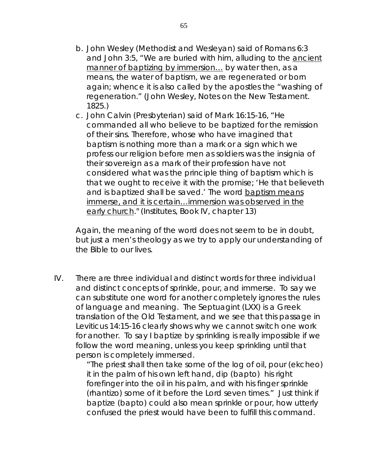- b. John Wesley (Methodist and Wesleyan) said of Romans 6:3 and John 3:5, "We are buried with him, alluding to the ancient manner of baptizing by immersion… by water then, as a means, the water of baptism, we are regenerated or born again; whence it is also called by the apostles the "washing of regeneration." (John Wesley, Notes on the New Testament. 1825.)
- c. John Calvin (Presbyterian) said of Mark 16:15-16, "He commanded all who believe to be baptized for the remission of their sins. Therefore, whose who have imagined that baptism is nothing more than a mark or a sign which we profess our religion before men as soldiers was the insignia of their sovereign as a mark of their profession have not considered what was the principle thing of baptism which is that we ought to receive it with the promise; 'He that believeth and is baptized shall be saved.' The word baptism means immerse, and it is certain…immersion was observed in the early church." (Institutes, Book IV, chapter 13)

Again, the meaning of the word does not seem to be in doubt, but just a men's theology as we try to apply our understanding of the Bible to our lives.

IV. There are three individual and distinct words for three individual and distinct concepts of sprinkle, pour, and immerse. To say we can substitute one word for another completely ignores the rules of language and meaning. The Septuagint (LXX) is a Greek translation of the Old Testament, and we see that this passage in Leviticus 14:15-16 clearly shows why we cannot switch one work for another. To say I baptize by sprinkling is really impossible if we follow the word meaning, unless you keep sprinkling until that person is completely immersed.

> "The priest shall then take some of the log of oil, pour (ekcheo) it in the palm of his own left hand, dip (bapto) his right forefinger into the oil in his palm, and with his finger sprinkle (rhantizo) some of it before the Lord seven times." Just think if baptize (bapto) could also mean sprinkle or pour, how utterly confused the priest would have been to fulfill this command.